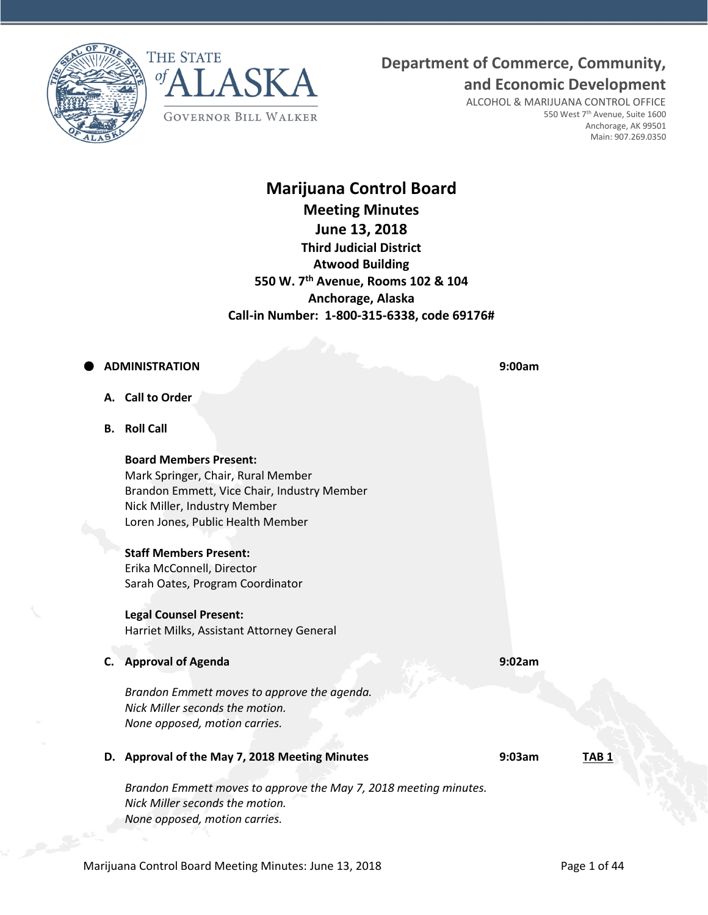



## **Department of Commerce, Community,**

**and Economic Development**

ALCOHOL & MARIJUANA CONTROL OFFICE 550 West 7<sup>th</sup> Avenue, Suite 1600 Anchorage, AK 99501 Main: 907.269.0350

## **Marijuana Control Board Meeting Minutes June 13, 2018 Third Judicial District Atwood Building 550 W. 7th Avenue, Rooms 102 & 104 Anchorage, Alaska Call-in Number: 1-800-315-6338, code 69176#**

## **ADMINISTRATION 9:00am**

- **A. Call to Order**
- **B. Roll Call**

#### **Board Members Present:**

Mark Springer, Chair, Rural Member Brandon Emmett, Vice Chair, Industry Member Nick Miller, Industry Member Loren Jones, Public Health Member

### **Staff Members Present:**

Erika McConnell, Director Sarah Oates, Program Coordinator

#### **Legal Counsel Present:**

Harriet Milks, Assistant Attorney General

**C. Approval of Agenda 9:02am**

*Brandon Emmett moves to approve the agenda. Nick Miller seconds the motion. None opposed, motion carries.*

**D. Approval of the May 7, 2018 Meeting Minutes 9:03am TAB 1**

*Brandon Emmett moves to approve the May 7, 2018 meeting minutes. Nick Miller seconds the motion. None opposed, motion carries.*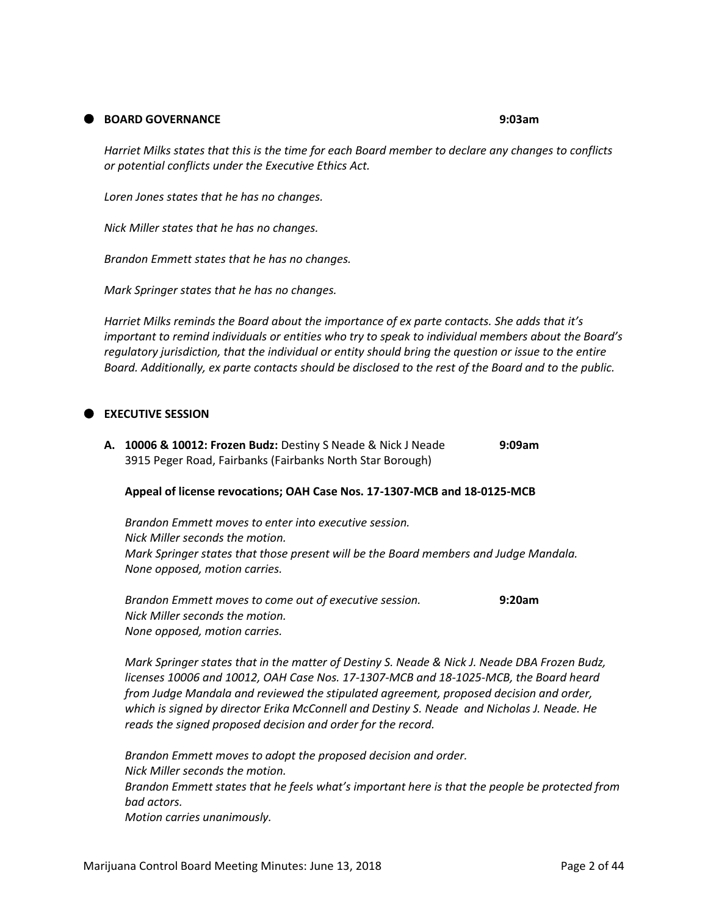#### **BOARD GOVERNANCE 9:03am**

*Harriet Milks states that this is the time for each Board member to declare any changes to conflicts or potential conflicts under the Executive Ethics Act.*

*Loren Jones states that he has no changes.*

*Nick Miller states that he has no changes.*

*Brandon Emmett states that he has no changes.*

*Mark Springer states that he has no changes.*

*Harriet Milks reminds the Board about the importance of ex parte contacts. She adds that it's important to remind individuals or entities who try to speak to individual members about the Board's regulatory jurisdiction, that the individual or entity should bring the question or issue to the entire Board. Additionally, ex parte contacts should be disclosed to the rest of the Board and to the public.*

#### **EXECUTIVE SESSION**

**A. 10006 & 10012: Frozen Budz:** Destiny S Neade & Nick J Neade **9:09am** 3915 Peger Road, Fairbanks (Fairbanks North Star Borough)

#### **Appeal of license revocations; OAH Case Nos. 17-1307-MCB and 18-0125-MCB**

*Brandon Emmett moves to enter into executive session. Nick Miller seconds the motion. Mark Springer states that those present will be the Board members and Judge Mandala. None opposed, motion carries.*

*Brandon Emmett moves to come out of executive session.* **9:20am** *Nick Miller seconds the motion. None opposed, motion carries.*

*Mark Springer states that in the matter of Destiny S. Neade & Nick J. Neade DBA Frozen Budz, licenses 10006 and 10012, OAH Case Nos. 17-1307-MCB and 18-1025-MCB, the Board heard from Judge Mandala and reviewed the stipulated agreement, proposed decision and order, which is signed by director Erika McConnell and Destiny S. Neade and Nicholas J. Neade. He reads the signed proposed decision and order for the record.*

*Brandon Emmett moves to adopt the proposed decision and order. Nick Miller seconds the motion. Brandon Emmett states that he feels what's important here is that the people be protected from bad actors. Motion carries unanimously.*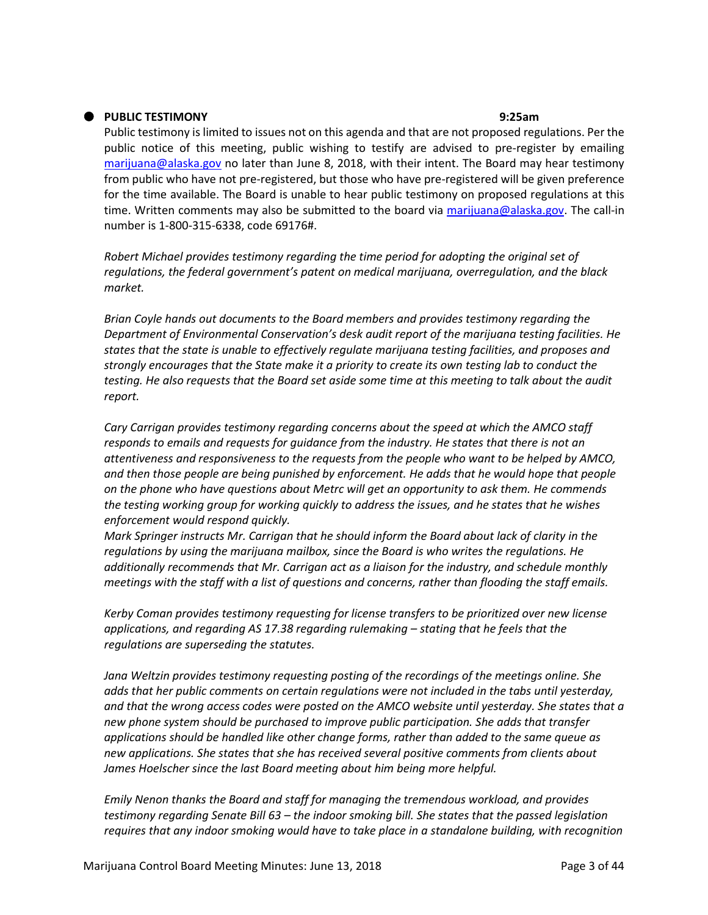#### **PUBLIC TESTIMONY 9:25am**

Public testimony is limited to issues not on this agenda and that are not proposed regulations. Per the public notice of this meeting, public wishing to testify are advised to pre-register by emailing [marijuana@alaska.gov](mailto:marijuana@alaska.gov) no later than June 8, 2018, with their intent. The Board may hear testimony from public who have not pre-registered, but those who have pre-registered will be given preference for the time available. The Board is unable to hear public testimony on proposed regulations at this time. Written comments may also be submitted to the board via [marijuana@alaska.gov.](mailto:marijuana@alaska.gov) The call-in number is 1-800-315-6338, code 69176#.

*Robert Michael provides testimony regarding the time period for adopting the original set of regulations, the federal government's patent on medical marijuana, overregulation, and the black market.*

*Brian Coyle hands out documents to the Board members and provides testimony regarding the Department of Environmental Conservation's desk audit report of the marijuana testing facilities. He states that the state is unable to effectively regulate marijuana testing facilities, and proposes and strongly encourages that the State make it a priority to create its own testing lab to conduct the testing. He also requests that the Board set aside some time at this meeting to talk about the audit report.*

*Cary Carrigan provides testimony regarding concerns about the speed at which the AMCO staff responds to emails and requests for guidance from the industry. He states that there is not an attentiveness and responsiveness to the requests from the people who want to be helped by AMCO, and then those people are being punished by enforcement. He adds that he would hope that people on the phone who have questions about Metrc will get an opportunity to ask them. He commends the testing working group for working quickly to address the issues, and he states that he wishes enforcement would respond quickly.*

*Mark Springer instructs Mr. Carrigan that he should inform the Board about lack of clarity in the regulations by using the marijuana mailbox, since the Board is who writes the regulations. He additionally recommends that Mr. Carrigan act as a liaison for the industry, and schedule monthly meetings with the staff with a list of questions and concerns, rather than flooding the staff emails.*

*Kerby Coman provides testimony requesting for license transfers to be prioritized over new license applications, and regarding AS 17.38 regarding rulemaking – stating that he feels that the regulations are superseding the statutes.* 

*Jana Weltzin provides testimony requesting posting of the recordings of the meetings online. She adds that her public comments on certain regulations were not included in the tabs until yesterday, and that the wrong access codes were posted on the AMCO website until yesterday. She states that a new phone system should be purchased to improve public participation. She adds that transfer applications should be handled like other change forms, rather than added to the same queue as new applications. She states that she has received several positive comments from clients about James Hoelscher since the last Board meeting about him being more helpful.*

*Emily Nenon thanks the Board and staff for managing the tremendous workload, and provides testimony regarding Senate Bill 63 – the indoor smoking bill. She states that the passed legislation requires that any indoor smoking would have to take place in a standalone building, with recognition*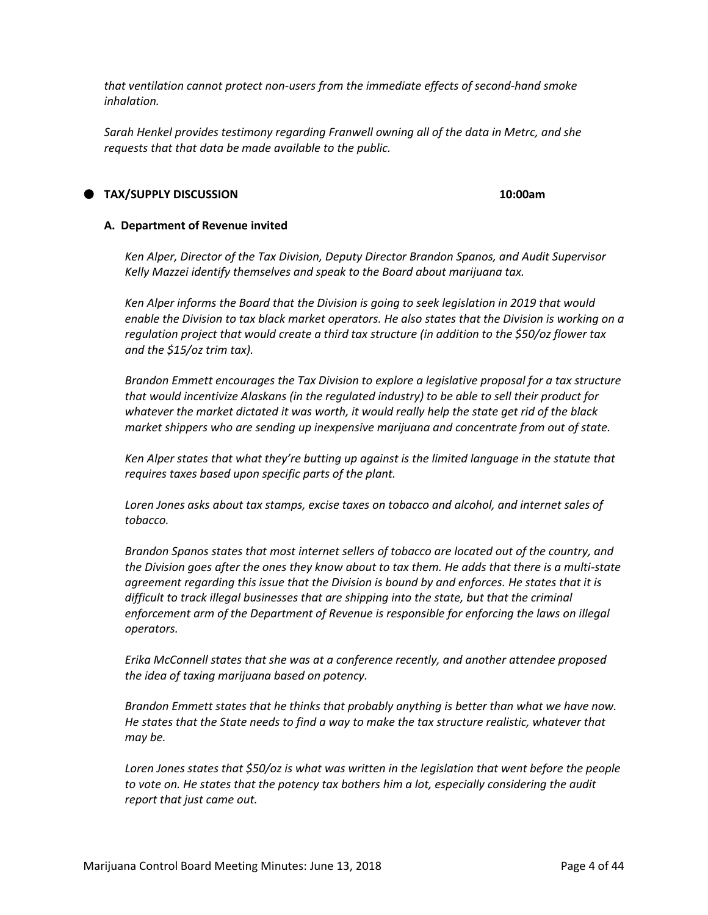*that ventilation cannot protect non-users from the immediate effects of second-hand smoke inhalation.*

*Sarah Henkel provides testimony regarding Franwell owning all of the data in Metrc, and she requests that that data be made available to the public.*

#### **TAX/SUPPLY DISCUSSION 10:00am**

#### **A. Department of Revenue invited**

*Ken Alper, Director of the Tax Division, Deputy Director Brandon Spanos, and Audit Supervisor Kelly Mazzei identify themselves and speak to the Board about marijuana tax.*

*Ken Alper informs the Board that the Division is going to seek legislation in 2019 that would enable the Division to tax black market operators. He also states that the Division is working on a regulation project that would create a third tax structure (in addition to the \$50/oz flower tax and the \$15/oz trim tax).*

*Brandon Emmett encourages the Tax Division to explore a legislative proposal for a tax structure that would incentivize Alaskans (in the regulated industry) to be able to sell their product for whatever the market dictated it was worth, it would really help the state get rid of the black market shippers who are sending up inexpensive marijuana and concentrate from out of state.*

*Ken Alper states that what they're butting up against is the limited language in the statute that requires taxes based upon specific parts of the plant.*

*Loren Jones asks about tax stamps, excise taxes on tobacco and alcohol, and internet sales of tobacco.*

*Brandon Spanos states that most internet sellers of tobacco are located out of the country, and the Division goes after the ones they know about to tax them. He adds that there is a multi-state agreement regarding this issue that the Division is bound by and enforces. He states that it is difficult to track illegal businesses that are shipping into the state, but that the criminal enforcement arm of the Department of Revenue is responsible for enforcing the laws on illegal operators.*

*Erika McConnell states that she was at a conference recently, and another attendee proposed the idea of taxing marijuana based on potency.*

*Brandon Emmett states that he thinks that probably anything is better than what we have now. He states that the State needs to find a way to make the tax structure realistic, whatever that may be.*

*Loren Jones states that \$50/oz is what was written in the legislation that went before the people to vote on. He states that the potency tax bothers him a lot, especially considering the audit report that just came out.*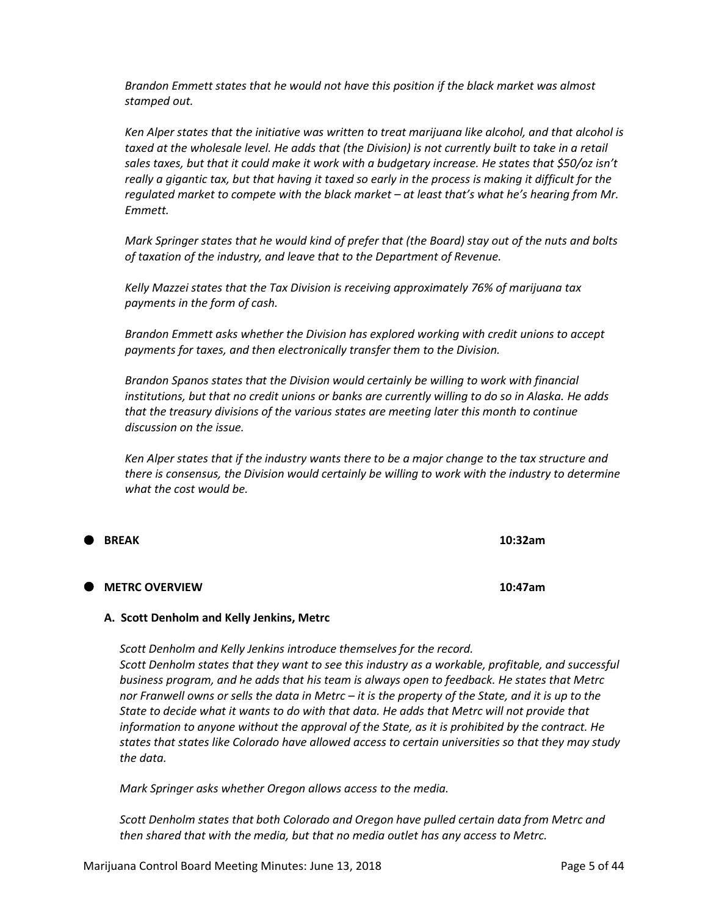*Brandon Emmett states that he would not have this position if the black market was almost stamped out.*

*Ken Alper states that the initiative was written to treat marijuana like alcohol, and that alcohol is*  taxed at the wholesale level. He adds that (the Division) is not currently built to take in a retail *sales taxes, but that it could make it work with a budgetary increase. He states that \$50/oz isn't really a gigantic tax, but that having it taxed so early in the process is making it difficult for the regulated market to compete with the black market – at least that's what he's hearing from Mr. Emmett.*

*Mark Springer states that he would kind of prefer that (the Board) stay out of the nuts and bolts of taxation of the industry, and leave that to the Department of Revenue.*

*Kelly Mazzei states that the Tax Division is receiving approximately 76% of marijuana tax payments in the form of cash.*

*Brandon Emmett asks whether the Division has explored working with credit unions to accept payments for taxes, and then electronically transfer them to the Division.*

*Brandon Spanos states that the Division would certainly be willing to work with financial institutions, but that no credit unions or banks are currently willing to do so in Alaska. He adds that the treasury divisions of the various states are meeting later this month to continue discussion on the issue.*

*Ken Alper states that if the industry wants there to be a major change to the tax structure and there is consensus, the Division would certainly be willing to work with the industry to determine what the cost would be.*

| <b>BREAK</b> |  | 10:32am |
|--------------|--|---------|
|              |  |         |

#### **METRC OVERVIEW 10:47am**

#### **A. Scott Denholm and Kelly Jenkins, Metrc**

*Scott Denholm and Kelly Jenkins introduce themselves for the record. Scott Denholm states that they want to see this industry as a workable, profitable, and successful business program, and he adds that his team is always open to feedback. He states that Metrc nor Franwell owns or sells the data in Metrc – it is the property of the State, and it is up to the State to decide what it wants to do with that data. He adds that Metrc will not provide that information to anyone without the approval of the State, as it is prohibited by the contract. He states that states like Colorado have allowed access to certain universities so that they may study the data.*

*Mark Springer asks whether Oregon allows access to the media.*

*Scott Denholm states that both Colorado and Oregon have pulled certain data from Metrc and then shared that with the media, but that no media outlet has any access to Metrc.*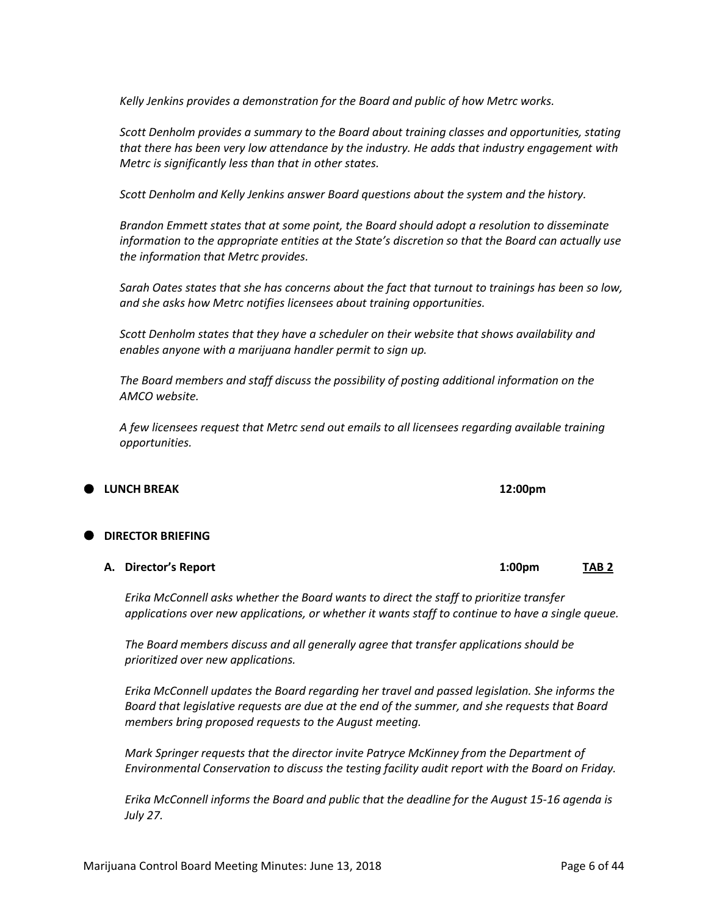*Kelly Jenkins provides a demonstration for the Board and public of how Metrc works.*

*Scott Denholm provides a summary to the Board about training classes and opportunities, stating that there has been very low attendance by the industry. He adds that industry engagement with Metrc is significantly less than that in other states.*

*Scott Denholm and Kelly Jenkins answer Board questions about the system and the history.*

*Brandon Emmett states that at some point, the Board should adopt a resolution to disseminate information to the appropriate entities at the State's discretion so that the Board can actually use the information that Metrc provides.*

*Sarah Oates states that she has concerns about the fact that turnout to trainings has been so low, and she asks how Metrc notifies licensees about training opportunities.*

*Scott Denholm states that they have a scheduler on their website that shows availability and enables anyone with a marijuana handler permit to sign up.*

*The Board members and staff discuss the possibility of posting additional information on the AMCO website.*

*A few licensees request that Metrc send out emails to all licensees regarding available training opportunities.* 

### **LUNCH BREAK 12:00pm**

## **DIRECTOR BRIEFING**

#### **A. Director's Report 1:00pm TAB 2**

*Erika McConnell asks whether the Board wants to direct the staff to prioritize transfer applications over new applications, or whether it wants staff to continue to have a single queue.*

*The Board members discuss and all generally agree that transfer applications should be prioritized over new applications.*

*Erika McConnell updates the Board regarding her travel and passed legislation. She informs the Board that legislative requests are due at the end of the summer, and she requests that Board members bring proposed requests to the August meeting.*

*Mark Springer requests that the director invite Patryce McKinney from the Department of Environmental Conservation to discuss the testing facility audit report with the Board on Friday.*

*Erika McConnell informs the Board and public that the deadline for the August 15-16 agenda is July 27.*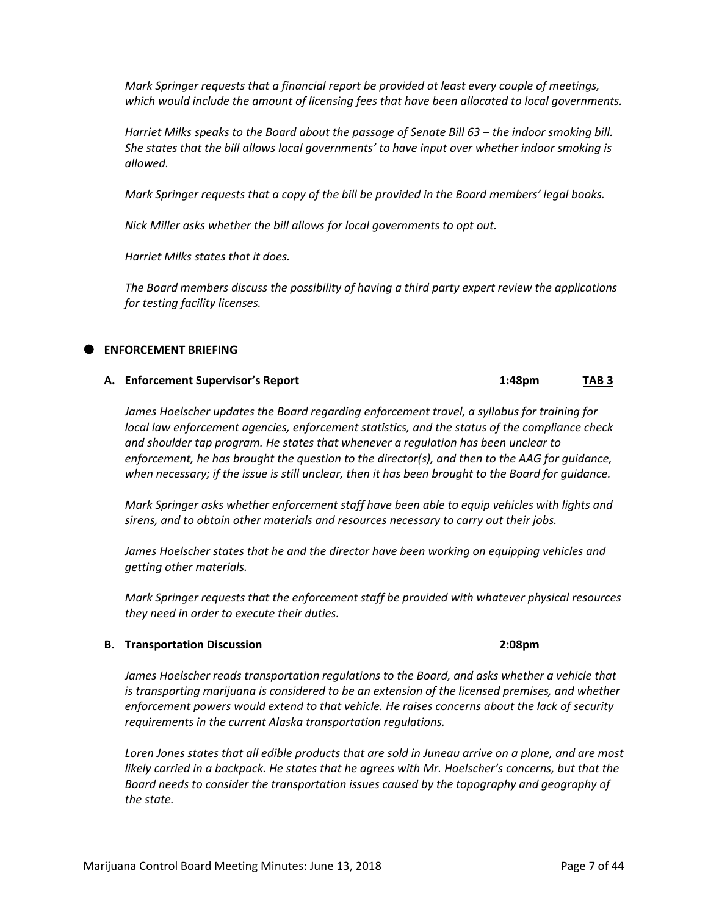*Mark Springer requests that a financial report be provided at least every couple of meetings, which would include the amount of licensing fees that have been allocated to local governments.*

*Harriet Milks speaks to the Board about the passage of Senate Bill 63 – the indoor smoking bill. She states that the bill allows local governments' to have input over whether indoor smoking is allowed.*

*Mark Springer requests that a copy of the bill be provided in the Board members' legal books.*

*Nick Miller asks whether the bill allows for local governments to opt out.*

*Harriet Milks states that it does.*

*The Board members discuss the possibility of having a third party expert review the applications for testing facility licenses.*

## **ENFORCEMENT BRIEFING**

## **A. Enforcement Supervisor's Report 1:48pm TAB 3**

*James Hoelscher updates the Board regarding enforcement travel, a syllabus for training for local law enforcement agencies, enforcement statistics, and the status of the compliance check and shoulder tap program. He states that whenever a regulation has been unclear to enforcement, he has brought the question to the director(s), and then to the AAG for guidance, when necessary; if the issue is still unclear, then it has been brought to the Board for guidance.*

*Mark Springer asks whether enforcement staff have been able to equip vehicles with lights and sirens, and to obtain other materials and resources necessary to carry out their jobs.*

*James Hoelscher states that he and the director have been working on equipping vehicles and getting other materials.*

*Mark Springer requests that the enforcement staff be provided with whatever physical resources they need in order to execute their duties.*

## **B. Transportation Discussion 2:08pm**

*James Hoelscher reads transportation regulations to the Board, and asks whether a vehicle that is transporting marijuana is considered to be an extension of the licensed premises, and whether enforcement powers would extend to that vehicle. He raises concerns about the lack of security requirements in the current Alaska transportation regulations.*

*Loren Jones states that all edible products that are sold in Juneau arrive on a plane, and are most likely carried in a backpack. He states that he agrees with Mr. Hoelscher's concerns, but that the Board needs to consider the transportation issues caused by the topography and geography of the state.*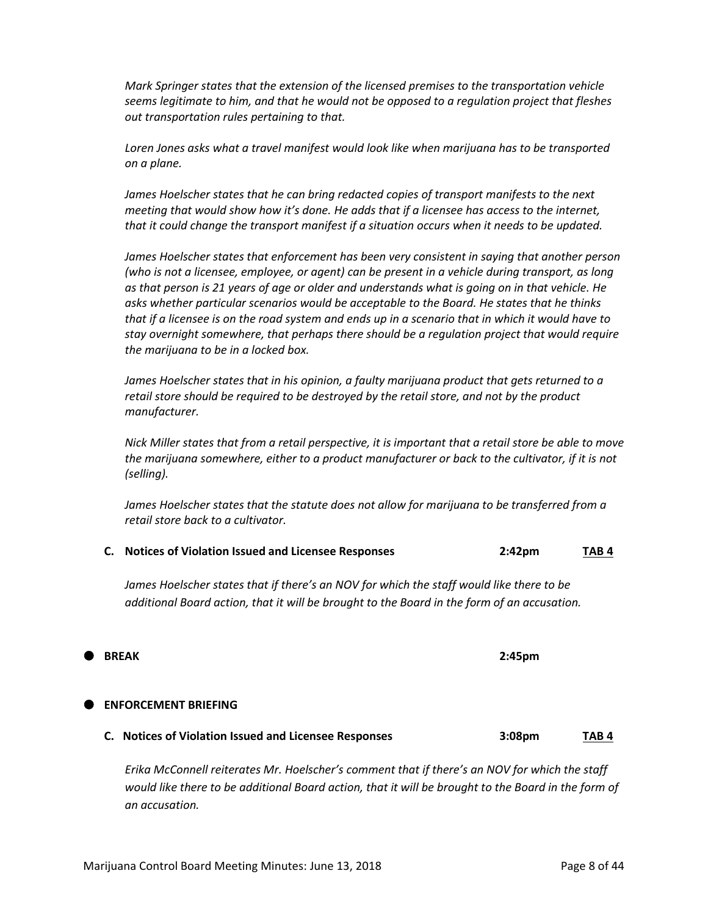**BREAK 2:45pm**

## **ENFORCEMENT BRIEFING**

*Mark Springer states that the extension of the licensed premises to the transportation vehicle seems legitimate to him, and that he would not be opposed to a regulation project that fleshes out transportation rules pertaining to that.*

*Loren Jones asks what a travel manifest would look like when marijuana has to be transported on a plane.*

James Hoelscher states that he can bring redacted copies of transport manifests to the next *meeting that would show how it's done. He adds that if a licensee has access to the internet, that it could change the transport manifest if a situation occurs when it needs to be updated.*

*James Hoelscher states that enforcement has been very consistent in saying that another person (who is not a licensee, employee, or agent) can be present in a vehicle during transport, as long as that person is 21 years of age or older and understands what is going on in that vehicle. He asks whether particular scenarios would be acceptable to the Board. He states that he thinks that if a licensee is on the road system and ends up in a scenario that in which it would have to stay overnight somewhere, that perhaps there should be a regulation project that would require the marijuana to be in a locked box.*

*James Hoelscher states that in his opinion, a faulty marijuana product that gets returned to a retail store should be required to be destroyed by the retail store, and not by the product manufacturer.*

*Nick Miller states that from a retail perspective, it is important that a retail store be able to move the marijuana somewhere, either to a product manufacturer or back to the cultivator, if it is not (selling).*

*James Hoelscher states that the statute does not allow for marijuana to be transferred from a retail store back to a cultivator.*

|  | C. Notices of Violation Issued and Licensee Responses | 2:42 <sub>pm</sub> | TAB <sub>4</sub> |
|--|-------------------------------------------------------|--------------------|------------------|
|--|-------------------------------------------------------|--------------------|------------------|

*James Hoelscher states that if there's an NOV for which the staff would like there to be additional Board action, that it will be brought to the Board in the form of an accusation.*

*Erika McConnell reiterates Mr. Hoelscher's comment that if there's an NOV for which the staff would like there to be additional Board action, that it will be brought to the Board in the form of an accusation.*

**C. Notices of Violation Issued and Licensee Responses 3:08pm TAB 4**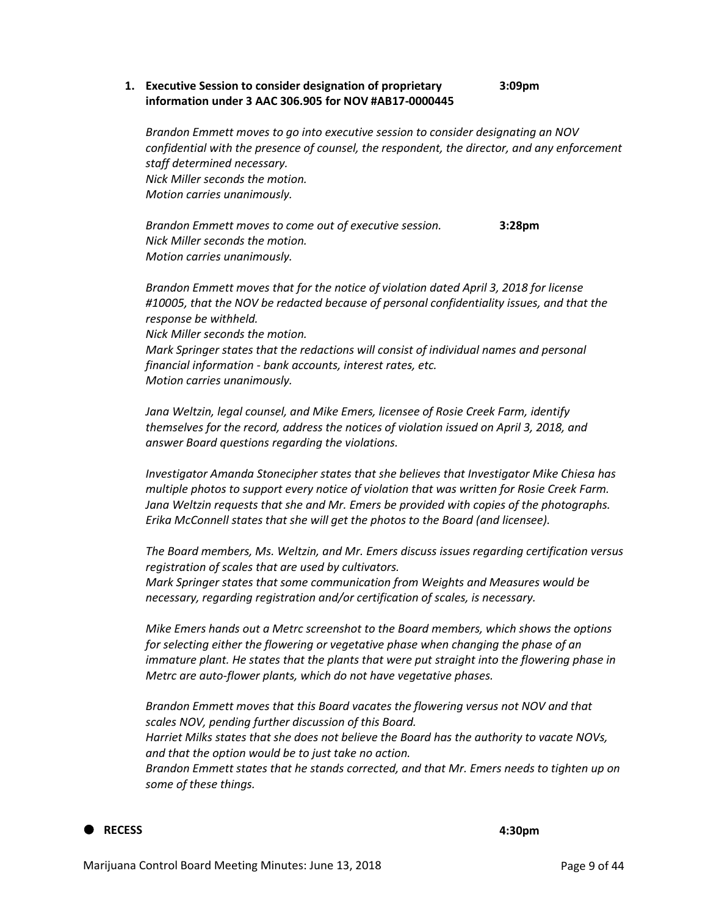#### **1. Executive Session to consider designation of proprietary 3:09pm information under 3 AAC 306.905 for NOV #AB17-0000445**

*Brandon Emmett moves to go into executive session to consider designating an NOV confidential with the presence of counsel, the respondent, the director, and any enforcement staff determined necessary. Nick Miller seconds the motion. Motion carries unanimously.*

*Brandon Emmett moves to come out of executive session.* **3:28pm** *Nick Miller seconds the motion. Motion carries unanimously.*

*Brandon Emmett moves that for the notice of violation dated April 3, 2018 for license #10005, that the NOV be redacted because of personal confidentiality issues, and that the response be withheld.*

*Nick Miller seconds the motion.*

*Mark Springer states that the redactions will consist of individual names and personal financial information - bank accounts, interest rates, etc. Motion carries unanimously.*

*Jana Weltzin, legal counsel, and Mike Emers, licensee of Rosie Creek Farm, identify themselves for the record, address the notices of violation issued on April 3, 2018, and answer Board questions regarding the violations.*

*Investigator Amanda Stonecipher states that she believes that Investigator Mike Chiesa has multiple photos to support every notice of violation that was written for Rosie Creek Farm. Jana Weltzin requests that she and Mr. Emers be provided with copies of the photographs. Erika McConnell states that she will get the photos to the Board (and licensee).*

*The Board members, Ms. Weltzin, and Mr. Emers discuss issues regarding certification versus registration of scales that are used by cultivators. Mark Springer states that some communication from Weights and Measures would be necessary, regarding registration and/or certification of scales, is necessary.*

*Mike Emers hands out a Metrc screenshot to the Board members, which shows the options for selecting either the flowering or vegetative phase when changing the phase of an immature plant. He states that the plants that were put straight into the flowering phase in Metrc are auto-flower plants, which do not have vegetative phases.*

*Brandon Emmett moves that this Board vacates the flowering versus not NOV and that scales NOV, pending further discussion of this Board.*

*Harriet Milks states that she does not believe the Board has the authority to vacate NOVs, and that the option would be to just take no action.*

*Brandon Emmett states that he stands corrected, and that Mr. Emers needs to tighten up on some of these things.*

#### **RECESS**

**4:30pm**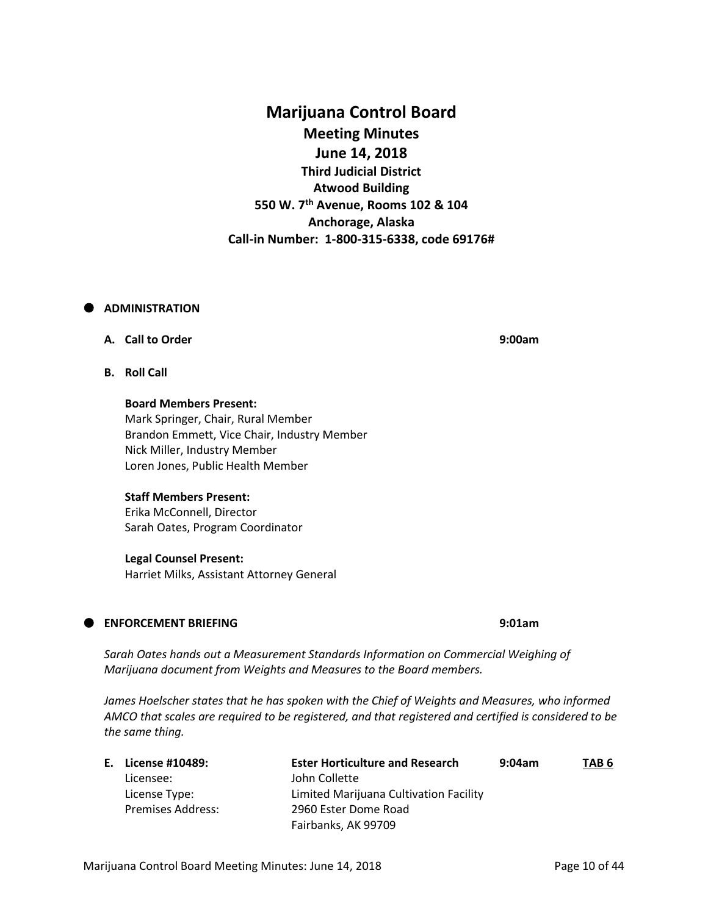## **Marijuana Control Board Meeting Minutes June 14, 2018 Third Judicial District Atwood Building 550 W. 7th Avenue, Rooms 102 & 104 Anchorage, Alaska Call-in Number: 1-800-315-6338, code 69176#**

### **ADMINISTRATION**

### **A. Call to Order 9:00am**

**B. Roll Call**

**Board Members Present:** Mark Springer, Chair, Rural Member Brandon Emmett, Vice Chair, Industry Member Nick Miller, Industry Member Loren Jones, Public Health Member

#### **Staff Members Present:**

Erika McConnell, Director Sarah Oates, Program Coordinator

#### **Legal Counsel Present:**

Harriet Milks, Assistant Attorney General

### **ENFORCEMENT BRIEFING 9:01am**

Sarah Oates hands out a Measurement Standards Information on Commercial Weighing of *Marijuana document from Weights and Measures to the Board members.*

James Hoelscher states that he has spoken with the Chief of Weights and Measures, who informed *AMCO that scales are required to be registered, and that registered and certified is considered to be the same thing.*

| E. License #10489:       | <b>Ester Horticulture and Research</b> | 9:04am | TAB 6 |
|--------------------------|----------------------------------------|--------|-------|
| Licensee:                | John Collette                          |        |       |
| License Type:            | Limited Marijuana Cultivation Facility |        |       |
| <b>Premises Address:</b> | 2960 Ester Dome Road                   |        |       |
|                          | Fairbanks, AK 99709                    |        |       |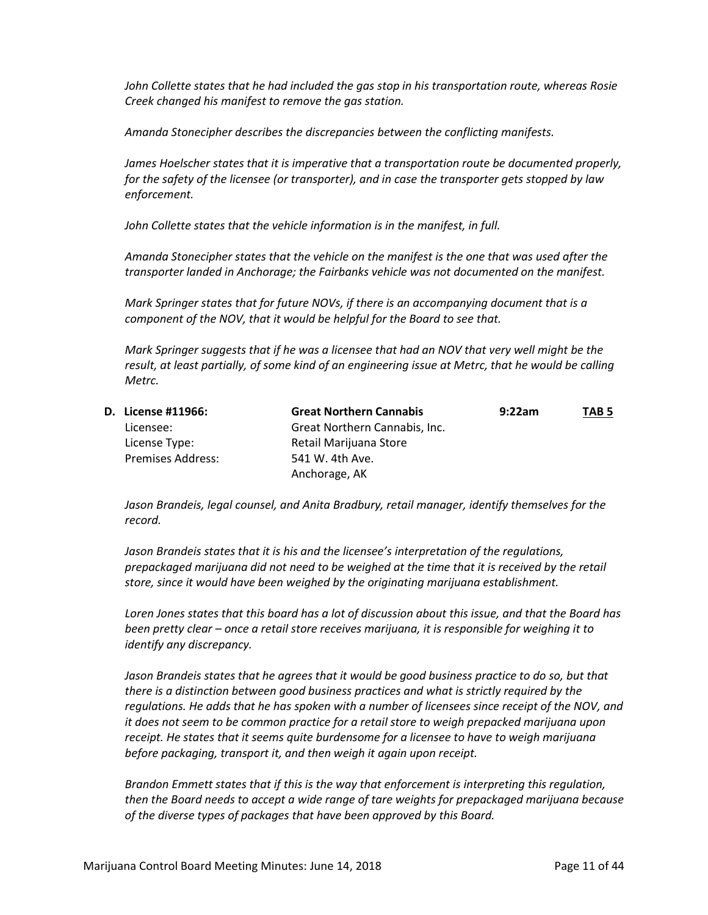*John Collette states that he had included the gas stop in his transportation route, whereas Rosie Creek changed his manifest to remove the gas station.*

*Amanda Stonecipher describes the discrepancies between the conflicting manifests.*

*James Hoelscher states that it is imperative that a transportation route be documented properly, for the safety of the licensee (or transporter), and in case the transporter gets stopped by law enforcement.*

*John Collette states that the vehicle information is in the manifest, in full.*

*Amanda Stonecipher states that the vehicle on the manifest is the one that was used after the transporter landed in Anchorage; the Fairbanks vehicle was not documented on the manifest.*

*Mark Springer states that for future NOVs, if there is an accompanying document that is a component of the NOV, that it would be helpful for the Board to see that.*

*Mark Springer suggests that if he was a licensee that had an NOV that very well might be the result, at least partially, of some kind of an engineering issue at Metrc, that he would be calling Metrc.*

| D. License #11966:       | <b>Great Northern Cannabis</b> | 9:22am | TAB <sub>5</sub> |
|--------------------------|--------------------------------|--------|------------------|
| Licensee:                | Great Northern Cannabis, Inc.  |        |                  |
| License Type:            | Retail Marijuana Store         |        |                  |
| <b>Premises Address:</b> | 541 W. 4th Ave.                |        |                  |
|                          | Anchorage, AK                  |        |                  |

*Jason Brandeis, legal counsel, and Anita Bradbury, retail manager, identify themselves for the record.*

*Jason Brandeis states that it is his and the licensee's interpretation of the regulations, prepackaged marijuana did not need to be weighed at the time that it is received by the retail store, since it would have been weighed by the originating marijuana establishment.*

*Loren Jones states that this board has a lot of discussion about this issue, and that the Board has been pretty clear – once a retail store receives marijuana, it is responsible for weighing it to identify any discrepancy.* 

*Jason Brandeis states that he agrees that it would be good business practice to do so, but that there is a distinction between good business practices and what is strictly required by the regulations. He adds that he has spoken with a number of licensees since receipt of the NOV, and it does not seem to be common practice for a retail store to weigh prepacked marijuana upon receipt. He states that it seems quite burdensome for a licensee to have to weigh marijuana before packaging, transport it, and then weigh it again upon receipt.*

*Brandon Emmett states that if this is the way that enforcement is interpreting this regulation, then the Board needs to accept a wide range of tare weights for prepackaged marijuana because of the diverse types of packages that have been approved by this Board.*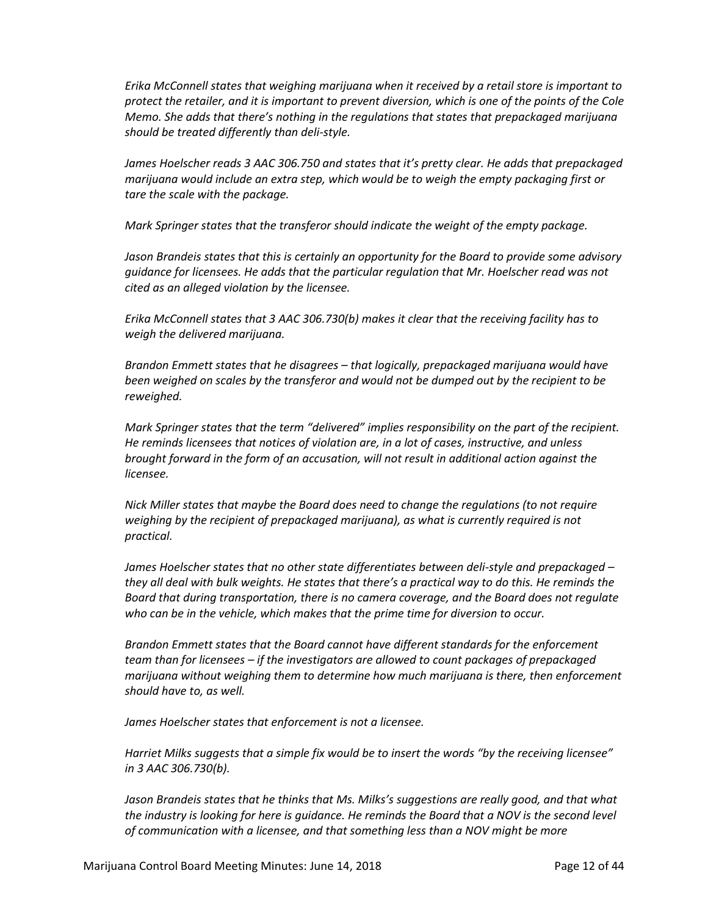*Erika McConnell states that weighing marijuana when it received by a retail store is important to protect the retailer, and it is important to prevent diversion, which is one of the points of the Cole Memo. She adds that there's nothing in the regulations that states that prepackaged marijuana should be treated differently than deli-style.*

*James Hoelscher reads 3 AAC 306.750 and states that it's pretty clear. He adds that prepackaged marijuana would include an extra step, which would be to weigh the empty packaging first or tare the scale with the package.*

*Mark Springer states that the transferor should indicate the weight of the empty package.*

*Jason Brandeis states that this is certainly an opportunity for the Board to provide some advisory guidance for licensees. He adds that the particular regulation that Mr. Hoelscher read was not cited as an alleged violation by the licensee.*

*Erika McConnell states that 3 AAC 306.730(b) makes it clear that the receiving facility has to weigh the delivered marijuana.*

*Brandon Emmett states that he disagrees – that logically, prepackaged marijuana would have been weighed on scales by the transferor and would not be dumped out by the recipient to be reweighed.*

*Mark Springer states that the term "delivered" implies responsibility on the part of the recipient. He reminds licensees that notices of violation are, in a lot of cases, instructive, and unless brought forward in the form of an accusation, will not result in additional action against the licensee.*

*Nick Miller states that maybe the Board does need to change the regulations (to not require weighing by the recipient of prepackaged marijuana), as what is currently required is not practical.*

*James Hoelscher states that no other state differentiates between deli-style and prepackaged – they all deal with bulk weights. He states that there's a practical way to do this. He reminds the Board that during transportation, there is no camera coverage, and the Board does not regulate who can be in the vehicle, which makes that the prime time for diversion to occur.* 

*Brandon Emmett states that the Board cannot have different standards for the enforcement team than for licensees – if the investigators are allowed to count packages of prepackaged marijuana without weighing them to determine how much marijuana is there, then enforcement should have to, as well.*

*James Hoelscher states that enforcement is not a licensee.*

*Harriet Milks suggests that a simple fix would be to insert the words "by the receiving licensee" in 3 AAC 306.730(b).*

*Jason Brandeis states that he thinks that Ms. Milks's suggestions are really good, and that what*  the industry is looking for here is quidance. He reminds the Board that a NOV is the second level *of communication with a licensee, and that something less than a NOV might be more*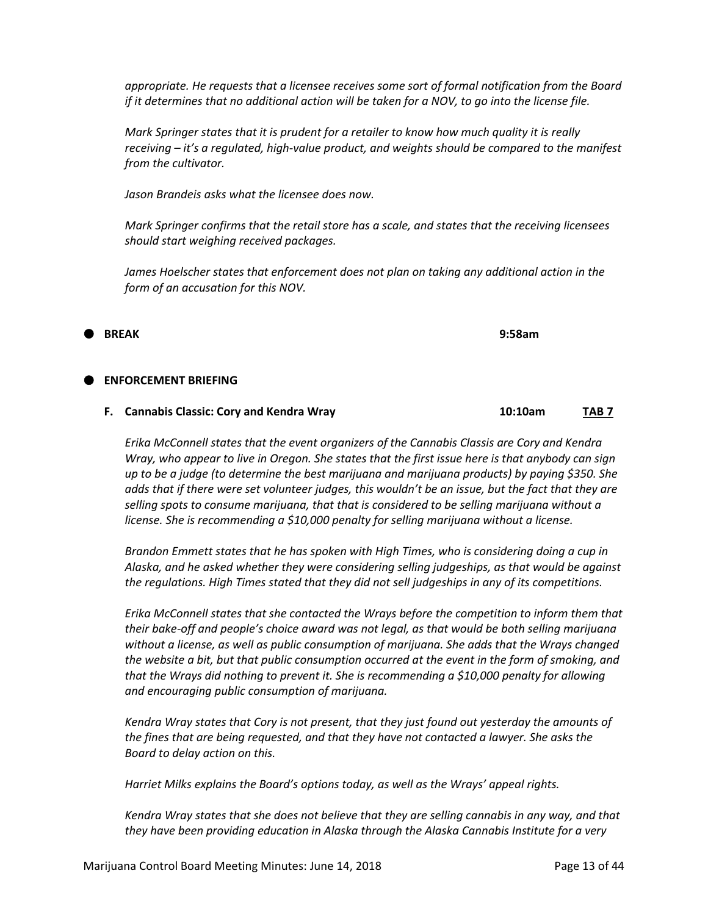*appropriate. He requests that a licensee receives some sort of formal notification from the Board if it determines that no additional action will be taken for a NOV, to go into the license file.*

*Mark Springer states that it is prudent for a retailer to know how much quality it is really receiving – it's a regulated, high-value product, and weights should be compared to the manifest from the cultivator.*

*Jason Brandeis asks what the licensee does now.*

*Mark Springer confirms that the retail store has a scale, and states that the receiving licensees should start weighing received packages.*

*James Hoelscher states that enforcement does not plan on taking any additional action in the form of an accusation for this NOV.*

**BREAK 9:58am**

#### **ENFORCEMENT BRIEFING**

| F. Cannabis Classic: Cory and Kendra Wray | 10:10am | TAB 7 |
|-------------------------------------------|---------|-------|
|                                           |         |       |

*Erika McConnell states that the event organizers of the Cannabis Classis are Cory and Kendra Wray, who appear to live in Oregon. She states that the first issue here is that anybody can sign up to be a judge (to determine the best marijuana and marijuana products) by paying \$350. She adds that if there were set volunteer judges, this wouldn't be an issue, but the fact that they are selling spots to consume marijuana, that that is considered to be selling marijuana without a license. She is recommending a \$10,000 penalty for selling marijuana without a license.*

*Brandon Emmett states that he has spoken with High Times, who is considering doing a cup in Alaska, and he asked whether they were considering selling judgeships, as that would be against the regulations. High Times stated that they did not sell judgeships in any of its competitions.*

*Erika McConnell states that she contacted the Wrays before the competition to inform them that their bake-off and people's choice award was not legal, as that would be both selling marijuana without a license, as well as public consumption of marijuana. She adds that the Wrays changed the website a bit, but that public consumption occurred at the event in the form of smoking, and that the Wrays did nothing to prevent it. She is recommending a \$10,000 penalty for allowing and encouraging public consumption of marijuana.*

*Kendra Wray states that Cory is not present, that they just found out yesterday the amounts of the fines that are being requested, and that they have not contacted a lawyer. She asks the Board to delay action on this.*

*Harriet Milks explains the Board's options today, as well as the Wrays' appeal rights.*

*Kendra Wray states that she does not believe that they are selling cannabis in any way, and that they have been providing education in Alaska through the Alaska Cannabis Institute for a very*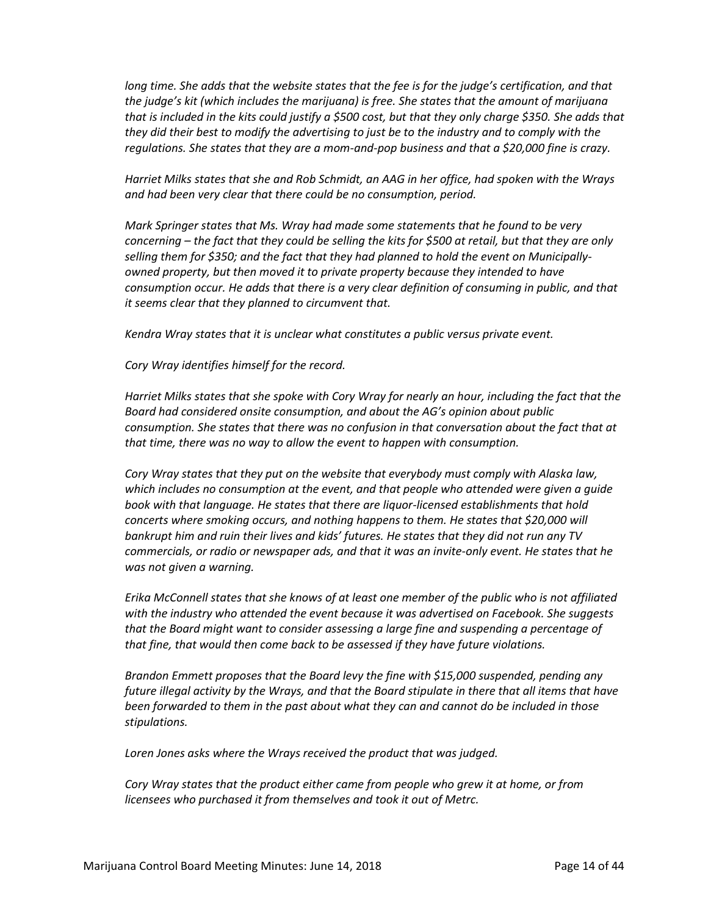*long time. She adds that the website states that the fee is for the judge's certification, and that the judge's kit (which includes the marijuana) is free. She states that the amount of marijuana that is included in the kits could justify a \$500 cost, but that they only charge \$350. She adds that they did their best to modify the advertising to just be to the industry and to comply with the regulations. She states that they are a mom-and-pop business and that a \$20,000 fine is crazy.*

*Harriet Milks states that she and Rob Schmidt, an AAG in her office, had spoken with the Wrays and had been very clear that there could be no consumption, period.*

*Mark Springer states that Ms. Wray had made some statements that he found to be very concerning – the fact that they could be selling the kits for \$500 at retail, but that they are only selling them for \$350; and the fact that they had planned to hold the event on Municipallyowned property, but then moved it to private property because they intended to have consumption occur. He adds that there is a very clear definition of consuming in public, and that it seems clear that they planned to circumvent that.*

*Kendra Wray states that it is unclear what constitutes a public versus private event.*

*Cory Wray identifies himself for the record.*

*Harriet Milks states that she spoke with Cory Wray for nearly an hour, including the fact that the Board had considered onsite consumption, and about the AG's opinion about public consumption. She states that there was no confusion in that conversation about the fact that at that time, there was no way to allow the event to happen with consumption.*

*Cory Wray states that they put on the website that everybody must comply with Alaska law, which includes no consumption at the event, and that people who attended were given a guide book with that language. He states that there are liquor-licensed establishments that hold concerts where smoking occurs, and nothing happens to them. He states that \$20,000 will bankrupt him and ruin their lives and kids' futures. He states that they did not run any TV commercials, or radio or newspaper ads, and that it was an invite-only event. He states that he was not given a warning.*

*Erika McConnell states that she knows of at least one member of the public who is not affiliated with the industry who attended the event because it was advertised on Facebook. She suggests that the Board might want to consider assessing a large fine and suspending a percentage of that fine, that would then come back to be assessed if they have future violations.*

*Brandon Emmett proposes that the Board levy the fine with \$15,000 suspended, pending any future illegal activity by the Wrays, and that the Board stipulate in there that all items that have been forwarded to them in the past about what they can and cannot do be included in those stipulations.*

*Loren Jones asks where the Wrays received the product that was judged.*

*Cory Wray states that the product either came from people who grew it at home, or from licensees who purchased it from themselves and took it out of Metrc.*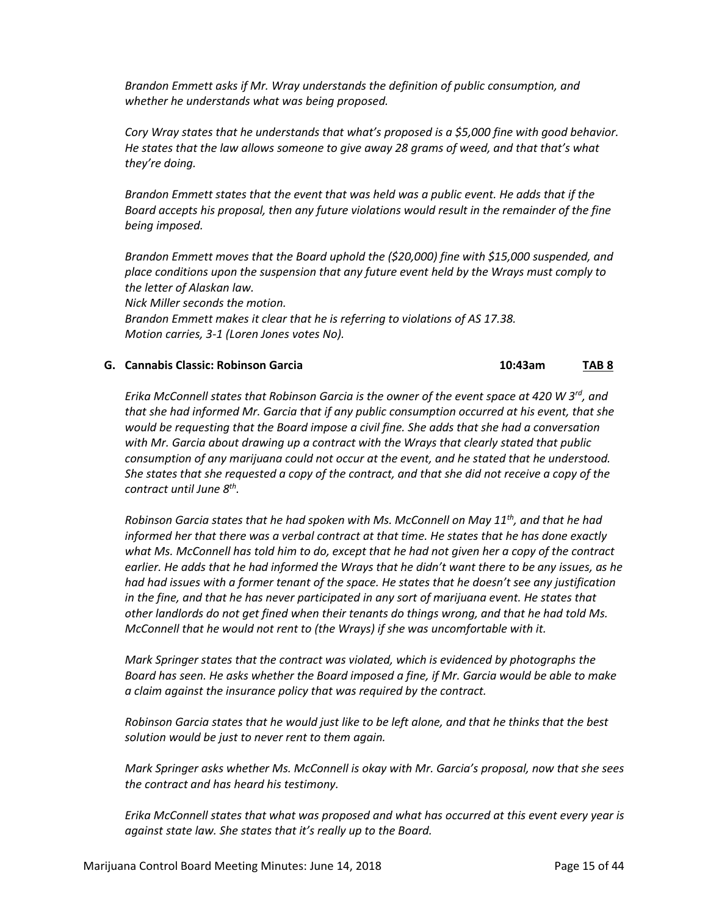*Brandon Emmett asks if Mr. Wray understands the definition of public consumption, and whether he understands what was being proposed.*

*Cory Wray states that he understands that what's proposed is a \$5,000 fine with good behavior. He states that the law allows someone to give away 28 grams of weed, and that that's what they're doing.*

*Brandon Emmett states that the event that was held was a public event. He adds that if the Board accepts his proposal, then any future violations would result in the remainder of the fine being imposed.*

*Brandon Emmett moves that the Board uphold the (\$20,000) fine with \$15,000 suspended, and place conditions upon the suspension that any future event held by the Wrays must comply to the letter of Alaskan law.*

*Nick Miller seconds the motion. Brandon Emmett makes it clear that he is referring to violations of AS 17.38. Motion carries, 3-1 (Loren Jones votes No).*

#### **G. Cannabis Classic: Robinson Garcia 10:43am TAB 8**

*Erika McConnell states that Robinson Garcia is the owner of the event space at 420 W 3rd, and that she had informed Mr. Garcia that if any public consumption occurred at his event, that she would be requesting that the Board impose a civil fine. She adds that she had a conversation with Mr. Garcia about drawing up a contract with the Wrays that clearly stated that public consumption of any marijuana could not occur at the event, and he stated that he understood. She states that she requested a copy of the contract, and that she did not receive a copy of the contract until June 8th .*

*Robinson Garcia states that he had spoken with Ms. McConnell on May 11th, and that he had informed her that there was a verbal contract at that time. He states that he has done exactly what Ms. McConnell has told him to do, except that he had not given her a copy of the contract earlier. He adds that he had informed the Wrays that he didn't want there to be any issues, as he had had issues with a former tenant of the space. He states that he doesn't see any justification in the fine, and that he has never participated in any sort of marijuana event. He states that other landlords do not get fined when their tenants do things wrong, and that he had told Ms. McConnell that he would not rent to (the Wrays) if she was uncomfortable with it.*

*Mark Springer states that the contract was violated, which is evidenced by photographs the Board has seen. He asks whether the Board imposed a fine, if Mr. Garcia would be able to make a claim against the insurance policy that was required by the contract.*

*Robinson Garcia states that he would just like to be left alone, and that he thinks that the best solution would be just to never rent to them again.*

*Mark Springer asks whether Ms. McConnell is okay with Mr. Garcia's proposal, now that she sees the contract and has heard his testimony.*

*Erika McConnell states that what was proposed and what has occurred at this event every year is against state law. She states that it's really up to the Board.*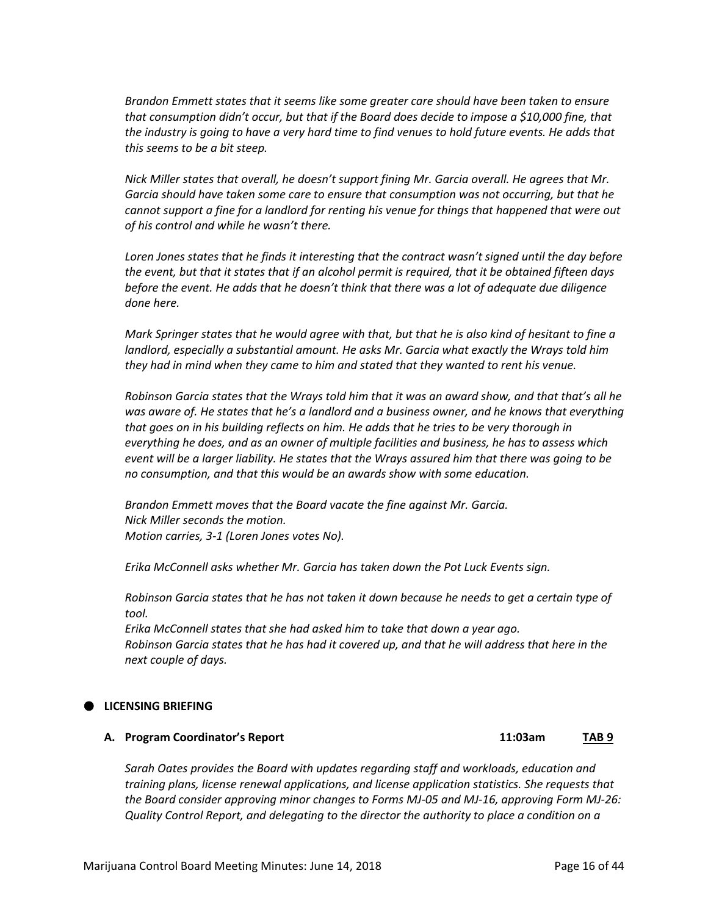*Brandon Emmett states that it seems like some greater care should have been taken to ensure that consumption didn't occur, but that if the Board does decide to impose a \$10,000 fine, that the industry is going to have a very hard time to find venues to hold future events. He adds that this seems to be a bit steep.*

*Nick Miller states that overall, he doesn't support fining Mr. Garcia overall. He agrees that Mr. Garcia should have taken some care to ensure that consumption was not occurring, but that he cannot support a fine for a landlord for renting his venue for things that happened that were out of his control and while he wasn't there.*

*Loren Jones states that he finds it interesting that the contract wasn't signed until the day before the event, but that it states that if an alcohol permit is required, that it be obtained fifteen days before the event. He adds that he doesn't think that there was a lot of adequate due diligence done here.*

*Mark Springer states that he would agree with that, but that he is also kind of hesitant to fine a landlord, especially a substantial amount. He asks Mr. Garcia what exactly the Wrays told him they had in mind when they came to him and stated that they wanted to rent his venue.*

*Robinson Garcia states that the Wrays told him that it was an award show, and that that's all he*  was aware of. He states that he's a landlord and a business owner, and he knows that everything *that goes on in his building reflects on him. He adds that he tries to be very thorough in everything he does, and as an owner of multiple facilities and business, he has to assess which event will be a larger liability. He states that the Wrays assured him that there was going to be no consumption, and that this would be an awards show with some education.*

*Brandon Emmett moves that the Board vacate the fine against Mr. Garcia. Nick Miller seconds the motion. Motion carries, 3-1 (Loren Jones votes No).*

*Erika McConnell asks whether Mr. Garcia has taken down the Pot Luck Events sign.*

*Robinson Garcia states that he has not taken it down because he needs to get a certain type of tool.*

*Erika McConnell states that she had asked him to take that down a year ago. Robinson Garcia states that he has had it covered up, and that he will address that here in the next couple of days.*

#### **LICENSING BRIEFING**

#### **A. Program Coordinator's Report 11:03am TAB 9**

*Sarah Oates provides the Board with updates regarding staff and workloads, education and training plans, license renewal applications, and license application statistics. She requests that the Board consider approving minor changes to Forms MJ-05 and MJ-16, approving Form MJ-26: Quality Control Report, and delegating to the director the authority to place a condition on a*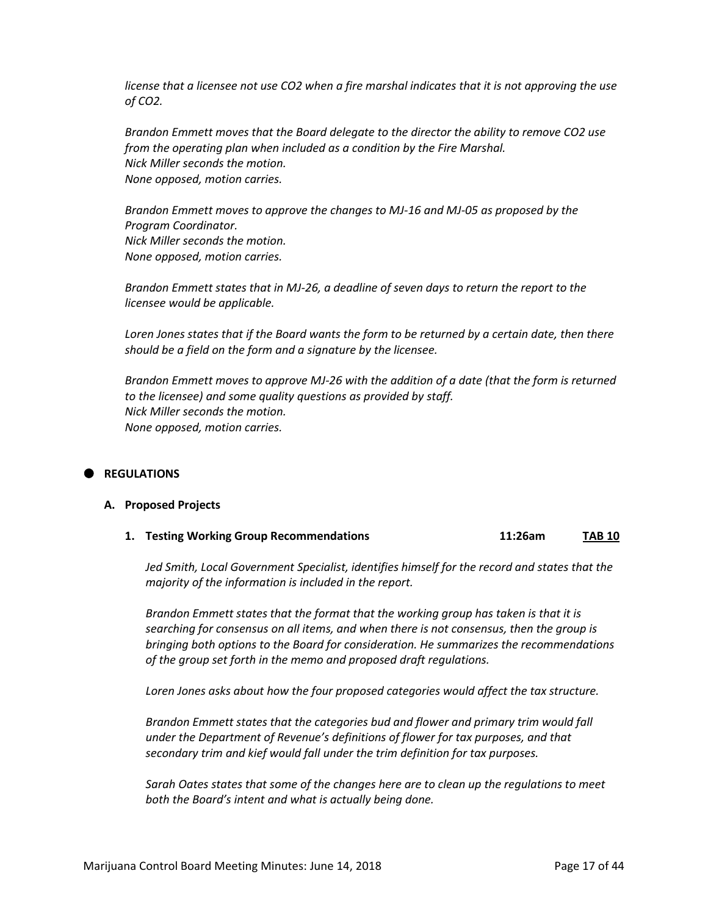*license that a licensee not use CO2 when a fire marshal indicates that it is not approving the use of CO2.*

*Brandon Emmett moves that the Board delegate to the director the ability to remove CO2 use from the operating plan when included as a condition by the Fire Marshal. Nick Miller seconds the motion. None opposed, motion carries.*

*Brandon Emmett moves to approve the changes to MJ-16 and MJ-05 as proposed by the Program Coordinator. Nick Miller seconds the motion. None opposed, motion carries.*

*Brandon Emmett states that in MJ-26, a deadline of seven days to return the report to the licensee would be applicable.*

*Loren Jones states that if the Board wants the form to be returned by a certain date, then there should be a field on the form and a signature by the licensee.*

*Brandon Emmett moves to approve MJ-26 with the addition of a date (that the form is returned to the licensee) and some quality questions as provided by staff. Nick Miller seconds the motion. None opposed, motion carries.*

#### **REGULATIONS**

#### **A. Proposed Projects**

**1. Testing Working Group Recommendations 11:26am TAB 10**

*Jed Smith, Local Government Specialist, identifies himself for the record and states that the majority of the information is included in the report.*

*Brandon Emmett states that the format that the working group has taken is that it is searching for consensus on all items, and when there is not consensus, then the group is bringing both options to the Board for consideration. He summarizes the recommendations of the group set forth in the memo and proposed draft regulations.*

*Loren Jones asks about how the four proposed categories would affect the tax structure.*

*Brandon Emmett states that the categories bud and flower and primary trim would fall under the Department of Revenue's definitions of flower for tax purposes, and that secondary trim and kief would fall under the trim definition for tax purposes.*

*Sarah Oates states that some of the changes here are to clean up the regulations to meet both the Board's intent and what is actually being done.*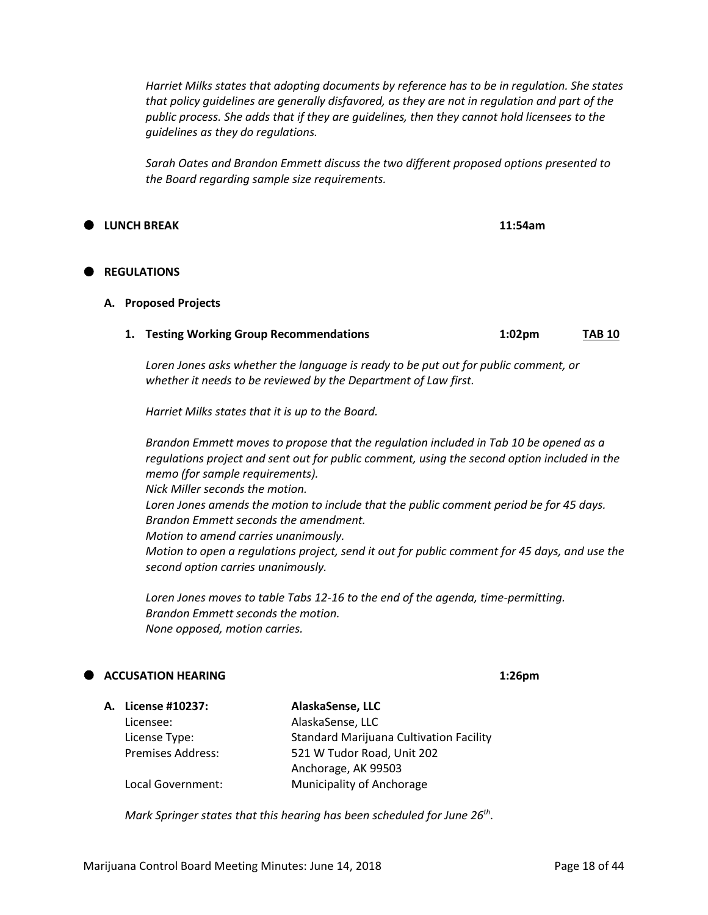**A. License #10237: AlaskaSense, LLC** Licensee: AlaskaSense, LLC

*Harriet Milks states that adopting documents by reference has to be in regulation. She states that policy guidelines are generally disfavored, as they are not in regulation and part of the public process. She adds that if they are guidelines, then they cannot hold licensees to the guidelines as they do regulations.*

*Sarah Oates and Brandon Emmett discuss the two different proposed options presented to the Board regarding sample size requirements.*

### **LUNCH BREAK 11:54am**

#### **REGULATIONS**

#### **A. Proposed Projects**

**1. Testing Working Group Recommendations 1:02pm TAB 10**

*Loren Jones asks whether the language is ready to be put out for public comment, or whether it needs to be reviewed by the Department of Law first.*

*Harriet Milks states that it is up to the Board.*

*Brandon Emmett moves to propose that the regulation included in Tab 10 be opened as a regulations project and sent out for public comment, using the second option included in the memo (for sample requirements). Nick Miller seconds the motion. Loren Jones amends the motion to include that the public comment period be for 45 days. Brandon Emmett seconds the amendment. Motion to amend carries unanimously. Motion to open a regulations project, send it out for public comment for 45 days, and use the second option carries unanimously.*

*Loren Jones moves to table Tabs 12-16 to the end of the agenda, time-permitting. Brandon Emmett seconds the motion. None opposed, motion carries.*

#### **ACCUSATION HEARING 1:26pm**

| License Type:            | <b>Standard Marijuana Cultivation Facility</b>                                        |
|--------------------------|---------------------------------------------------------------------------------------|
| <b>Premises Address:</b> | 521 W Tudor Road, Unit 202                                                            |
|                          | Anchorage, AK 99503                                                                   |
| Local Government:        | <b>Municipality of Anchorage</b>                                                      |
|                          |                                                                                       |
|                          | Mark Springer states that this hearing has been scheduled for June 26 <sup>th</sup> . |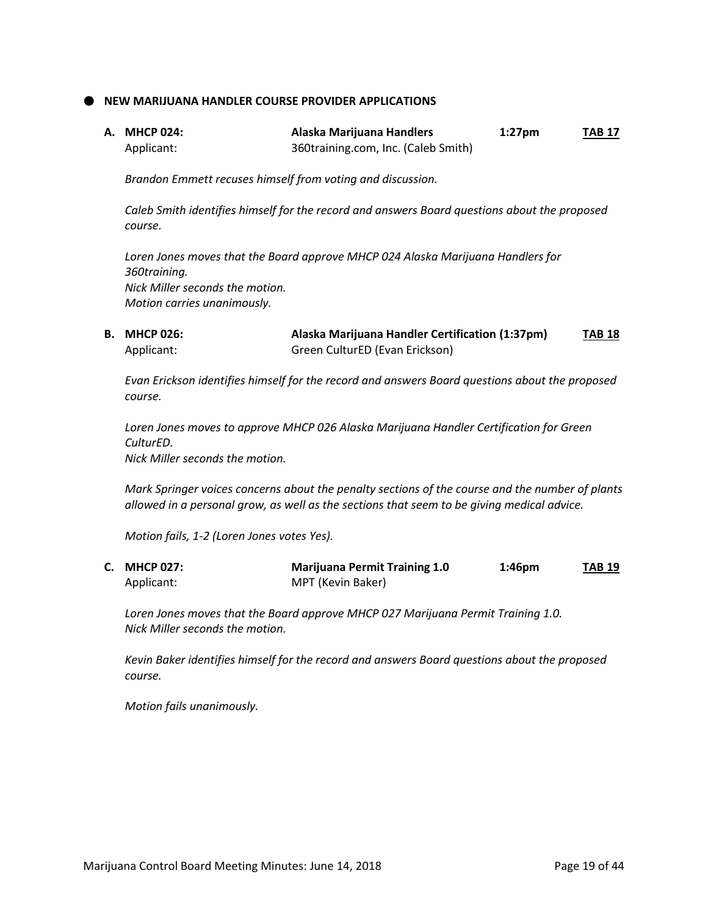**NEW MARIJUANA HANDLER COURSE PROVIDER APPLICATIONS**

| A.   MHCP 024: | Alaska Marijuana Handlers           | $1:27$ pm | <b>TAB 17</b> |
|----------------|-------------------------------------|-----------|---------------|
| Applicant:     | 360training.com, Inc. (Caleb Smith) |           |               |

*Brandon Emmett recuses himself from voting and discussion.*

*Caleb Smith identifies himself for the record and answers Board questions about the proposed course.*

*Loren Jones moves that the Board approve MHCP 024 Alaska Marijuana Handlers for 360training. Nick Miller seconds the motion. Motion carries unanimously.*

**B. MHCP 026: Alaska Marijuana Handler Certification (1:37pm) TAB 18** Applicant: Green CulturED (Evan Erickson)

*Evan Erickson identifies himself for the record and answers Board questions about the proposed course.*

*Loren Jones moves to approve MHCP 026 Alaska Marijuana Handler Certification for Green CulturED. Nick Miller seconds the motion.*

*Mark Springer voices concerns about the penalty sections of the course and the number of plants allowed in a personal grow, as well as the sections that seem to be giving medical advice.*

*Motion fails, 1-2 (Loren Jones votes Yes).*

| C. MHCP 027: | <b>Marijuana Permit Training 1.0</b> | 1:46 <sub>pm</sub> | <b>TAB 19</b> |
|--------------|--------------------------------------|--------------------|---------------|
| Applicant:   | MPT (Kevin Baker)                    |                    |               |

*Loren Jones moves that the Board approve MHCP 027 Marijuana Permit Training 1.0. Nick Miller seconds the motion.*

*Kevin Baker identifies himself for the record and answers Board questions about the proposed course.*

*Motion fails unanimously.*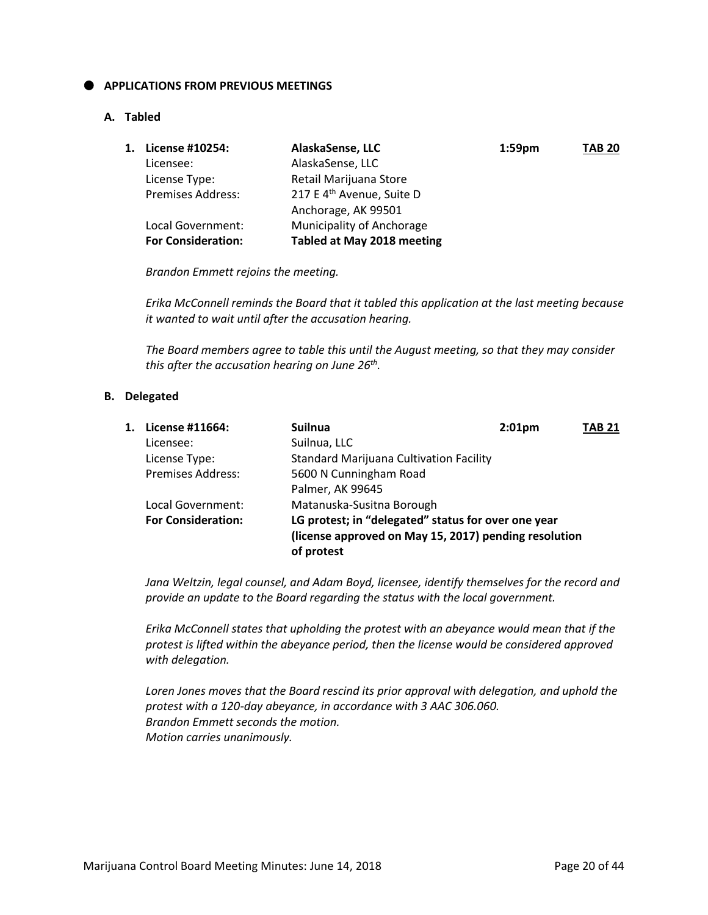#### **APPLICATIONS FROM PREVIOUS MEETINGS**

#### **A. Tabled**

| 1. | License #10254:           | AlaskaSense, LLC                      | $1:59$ pm | <b>TAB 20</b> |
|----|---------------------------|---------------------------------------|-----------|---------------|
|    | Licensee:                 | AlaskaSense, LLC                      |           |               |
|    | License Type:             | Retail Marijuana Store                |           |               |
|    | <b>Premises Address:</b>  | 217 E 4 <sup>th</sup> Avenue, Suite D |           |               |
|    |                           | Anchorage, AK 99501                   |           |               |
|    | Local Government:         | Municipality of Anchorage             |           |               |
|    | <b>For Consideration:</b> | Tabled at May 2018 meeting            |           |               |

*Brandon Emmett rejoins the meeting.*

*Erika McConnell reminds the Board that it tabled this application at the last meeting because it wanted to wait until after the accusation hearing.*

*The Board members agree to table this until the August meeting, so that they may consider this after the accusation hearing on June 26th .*

#### **B. Delegated**

| 1. | License #11664:           | <b>Suilnua</b>                                                                                                             | 2:01 <sub>pm</sub> | TAB 21 |
|----|---------------------------|----------------------------------------------------------------------------------------------------------------------------|--------------------|--------|
|    | Licensee:                 | Suilnua, LLC                                                                                                               |                    |        |
|    | License Type:             | <b>Standard Marijuana Cultivation Facility</b>                                                                             |                    |        |
|    | <b>Premises Address:</b>  | 5600 N Cunningham Road                                                                                                     |                    |        |
|    |                           | Palmer, AK 99645                                                                                                           |                    |        |
|    | Local Government:         | Matanuska-Susitna Borough                                                                                                  |                    |        |
|    | <b>For Consideration:</b> | LG protest; in "delegated" status for over one year<br>(license approved on May 15, 2017) pending resolution<br>of protest |                    |        |

*Jana Weltzin, legal counsel, and Adam Boyd, licensee, identify themselves for the record and provide an update to the Board regarding the status with the local government.*

*Erika McConnell states that upholding the protest with an abeyance would mean that if the protest is lifted within the abeyance period, then the license would be considered approved with delegation.*

*Loren Jones moves that the Board rescind its prior approval with delegation, and uphold the protest with a 120-day abeyance, in accordance with 3 AAC 306.060. Brandon Emmett seconds the motion. Motion carries unanimously.*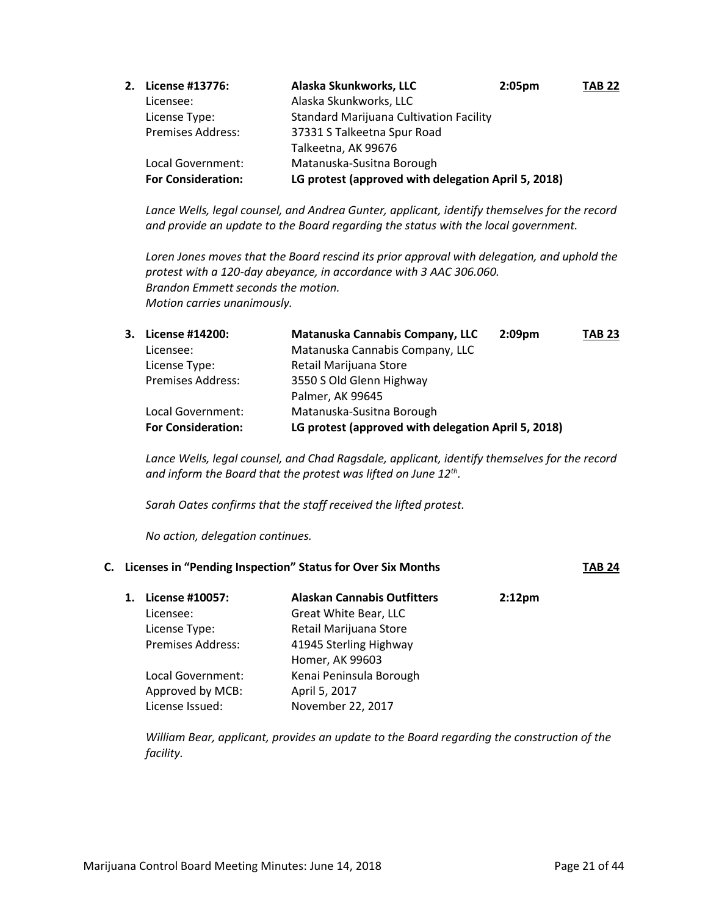| 2. License #13776:        | Alaska Skunkworks, LLC                              | $2:05 \text{pm}$ | <b>TAB 22</b> |
|---------------------------|-----------------------------------------------------|------------------|---------------|
| Licensee:                 | Alaska Skunkworks, LLC                              |                  |               |
| License Type:             | <b>Standard Marijuana Cultivation Facility</b>      |                  |               |
| <b>Premises Address:</b>  | 37331 S Talkeetna Spur Road                         |                  |               |
|                           | Talkeetna, AK 99676                                 |                  |               |
| Local Government:         | Matanuska-Susitna Borough                           |                  |               |
| <b>For Consideration:</b> | LG protest (approved with delegation April 5, 2018) |                  |               |

*Lance Wells, legal counsel, and Andrea Gunter, applicant, identify themselves for the record and provide an update to the Board regarding the status with the local government.*

*Loren Jones moves that the Board rescind its prior approval with delegation, and uphold the protest with a 120-day abeyance, in accordance with 3 AAC 306.060. Brandon Emmett seconds the motion. Motion carries unanimously.*

| 3. License #14200:        | Matanuska Cannabis Company, LLC                     | 2:09 <sub>pm</sub> | <b>TAB 23</b> |
|---------------------------|-----------------------------------------------------|--------------------|---------------|
| Licensee:                 | Matanuska Cannabis Company, LLC                     |                    |               |
| License Type:             | Retail Marijuana Store                              |                    |               |
| <b>Premises Address:</b>  | 3550 S Old Glenn Highway                            |                    |               |
|                           | Palmer, AK 99645                                    |                    |               |
| Local Government:         | Matanuska-Susitna Borough                           |                    |               |
| <b>For Consideration:</b> | LG protest (approved with delegation April 5, 2018) |                    |               |

*Lance Wells, legal counsel, and Chad Ragsdale, applicant, identify themselves for the record and inform the Board that the protest was lifted on June 12th .*

*Sarah Oates confirms that the staff received the lifted protest.*

*No action, delegation continues.*

## **C. Licenses in "Pending Inspection" Status for Over Six Months TAB 24**

| 1. | License #10057:          | <b>Alaskan Cannabis Outfitters</b> | 2:12 <sub>pm</sub> |
|----|--------------------------|------------------------------------|--------------------|
|    | Licensee:                | Great White Bear, LLC              |                    |
|    | License Type:            | Retail Marijuana Store             |                    |
|    | <b>Premises Address:</b> | 41945 Sterling Highway             |                    |
|    |                          | Homer, AK 99603                    |                    |
|    | Local Government:        | Kenai Peninsula Borough            |                    |
|    | Approved by MCB:         | April 5, 2017                      |                    |
|    | License Issued:          | November 22, 2017                  |                    |

*William Bear, applicant, provides an update to the Board regarding the construction of the facility.*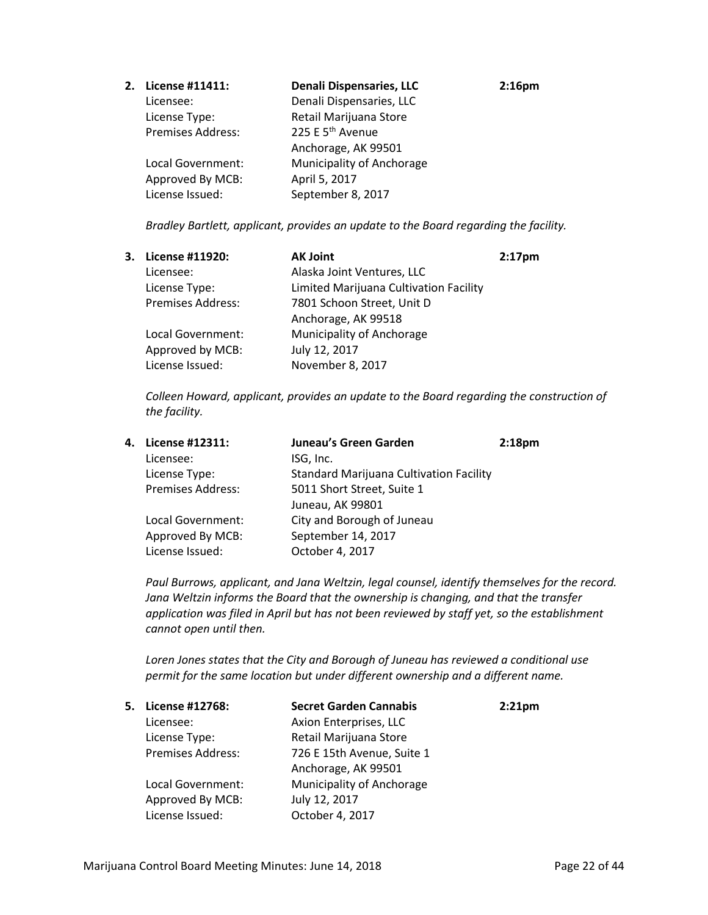| 2. | License #11411:          | <b>Denali Dispensaries, LLC</b> | 2:16 <sub>pm</sub> |
|----|--------------------------|---------------------------------|--------------------|
|    | Licensee:                | Denali Dispensaries, LLC        |                    |
|    | License Type:            | Retail Marijuana Store          |                    |
|    | <b>Premises Address:</b> | 225 E 5 <sup>th</sup> Avenue    |                    |
|    |                          | Anchorage, AK 99501             |                    |
|    | Local Government:        | Municipality of Anchorage       |                    |
|    | Approved By MCB:         | April 5, 2017                   |                    |
|    | License Issued:          | September 8, 2017               |                    |

*Bradley Bartlett, applicant, provides an update to the Board regarding the facility.* 

| 3. | <b>License #11920:</b>   | <b>AK Joint</b>                        | 2:17 <sub>pm</sub> |
|----|--------------------------|----------------------------------------|--------------------|
|    | Licensee:                | Alaska Joint Ventures, LLC             |                    |
|    | License Type:            | Limited Marijuana Cultivation Facility |                    |
|    | <b>Premises Address:</b> | 7801 Schoon Street, Unit D             |                    |
|    |                          | Anchorage, AK 99518                    |                    |
|    | Local Government:        | Municipality of Anchorage              |                    |
|    | Approved by MCB:         | July 12, 2017                          |                    |
|    | License Issued:          | November 8, 2017                       |                    |

*Colleen Howard, applicant, provides an update to the Board regarding the construction of the facility.* 

| 4. | License #12311:   | Juneau's Green Garden                          | 2:18 <sub>pm</sub> |
|----|-------------------|------------------------------------------------|--------------------|
|    | Licensee:         | ISG, Inc.                                      |                    |
|    | License Type:     | <b>Standard Marijuana Cultivation Facility</b> |                    |
|    | Premises Address: | 5011 Short Street, Suite 1                     |                    |
|    |                   | Juneau, AK 99801                               |                    |
|    | Local Government: | City and Borough of Juneau                     |                    |
|    | Approved By MCB:  | September 14, 2017                             |                    |
|    | License Issued:   | October 4, 2017                                |                    |
|    |                   |                                                |                    |

*Paul Burrows, applicant, and Jana Weltzin, legal counsel, identify themselves for the record. Jana Weltzin informs the Board that the ownership is changing, and that the transfer application was filed in April but has not been reviewed by staff yet, so the establishment cannot open until then.*

*Loren Jones states that the City and Borough of Juneau has reviewed a conditional use permit for the same location but under different ownership and a different name.*

| 5. | License #12768:          | <b>Secret Garden Cannabis</b> | $2:21$ pm |
|----|--------------------------|-------------------------------|-----------|
|    | Licensee:                | Axion Enterprises, LLC        |           |
|    | License Type:            | Retail Marijuana Store        |           |
|    | <b>Premises Address:</b> | 726 E 15th Avenue, Suite 1    |           |
|    |                          | Anchorage, AK 99501           |           |
|    | Local Government:        | Municipality of Anchorage     |           |
|    | Approved By MCB:         | July 12, 2017                 |           |
|    | License Issued:          | October 4, 2017               |           |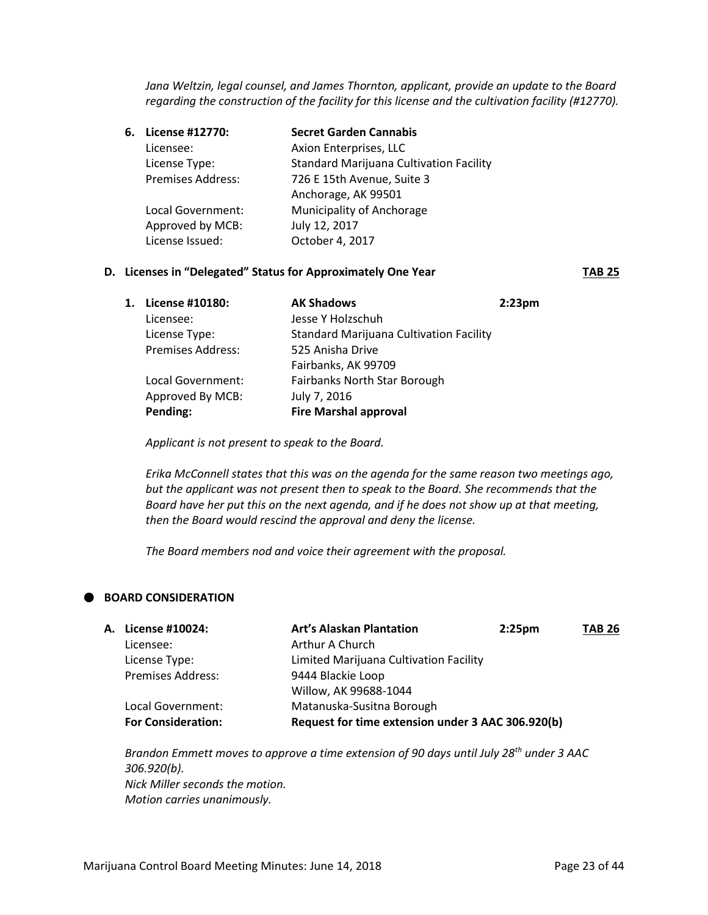*Jana Weltzin, legal counsel, and James Thornton, applicant, provide an update to the Board regarding the construction of the facility for this license and the cultivation facility (#12770).* 

| License #12770:          | <b>Secret Garden Cannabis</b>                  |
|--------------------------|------------------------------------------------|
| Licensee:                | Axion Enterprises, LLC                         |
| License Type:            | <b>Standard Marijuana Cultivation Facility</b> |
| <b>Premises Address:</b> | 726 E 15th Avenue, Suite 3                     |
|                          | Anchorage, AK 99501                            |
| Local Government:        | Municipality of Anchorage                      |
| Approved by MCB:         | July 12, 2017                                  |
| License Issued:          | October 4, 2017                                |
|                          |                                                |

#### **D.** Licenses in "Delegated" Status for Approximately One Year **TAB 25**

| 1. | License #10180:          | <b>AK Shadows</b>                              | 2:23 <sub>pm</sub> |
|----|--------------------------|------------------------------------------------|--------------------|
|    | Licensee:                | Jesse Y Holzschuh                              |                    |
|    | License Type:            | <b>Standard Marijuana Cultivation Facility</b> |                    |
|    | <b>Premises Address:</b> | 525 Anisha Drive                               |                    |
|    |                          | Fairbanks, AK 99709                            |                    |
|    | Local Government:        | Fairbanks North Star Borough                   |                    |
|    | Approved By MCB:         | July 7, 2016                                   |                    |
|    | Pending:                 | <b>Fire Marshal approval</b>                   |                    |
|    |                          |                                                |                    |

*Applicant is not present to speak to the Board.*

*Erika McConnell states that this was on the agenda for the same reason two meetings ago, but the applicant was not present then to speak to the Board. She recommends that the Board have her put this on the next agenda, and if he does not show up at that meeting, then the Board would rescind the approval and deny the license.*

*The Board members nod and voice their agreement with the proposal.*

#### **BOARD CONSIDERATION**

| A. License #10024:        | <b>Art's Alaskan Plantation</b>                   | 2:25 <sub>pm</sub> | <b>TAB 26</b> |
|---------------------------|---------------------------------------------------|--------------------|---------------|
| Licensee:                 | Arthur A Church                                   |                    |               |
| License Type:             | Limited Marijuana Cultivation Facility            |                    |               |
| <b>Premises Address:</b>  | 9444 Blackie Loop                                 |                    |               |
|                           | Willow, AK 99688-1044                             |                    |               |
| Local Government:         | Matanuska-Susitna Borough                         |                    |               |
| <b>For Consideration:</b> | Request for time extension under 3 AAC 306.920(b) |                    |               |

*Brandon Emmett moves to approve a time extension of 90 days until July 28th under 3 AAC 306.920(b). Nick Miller seconds the motion. Motion carries unanimously.*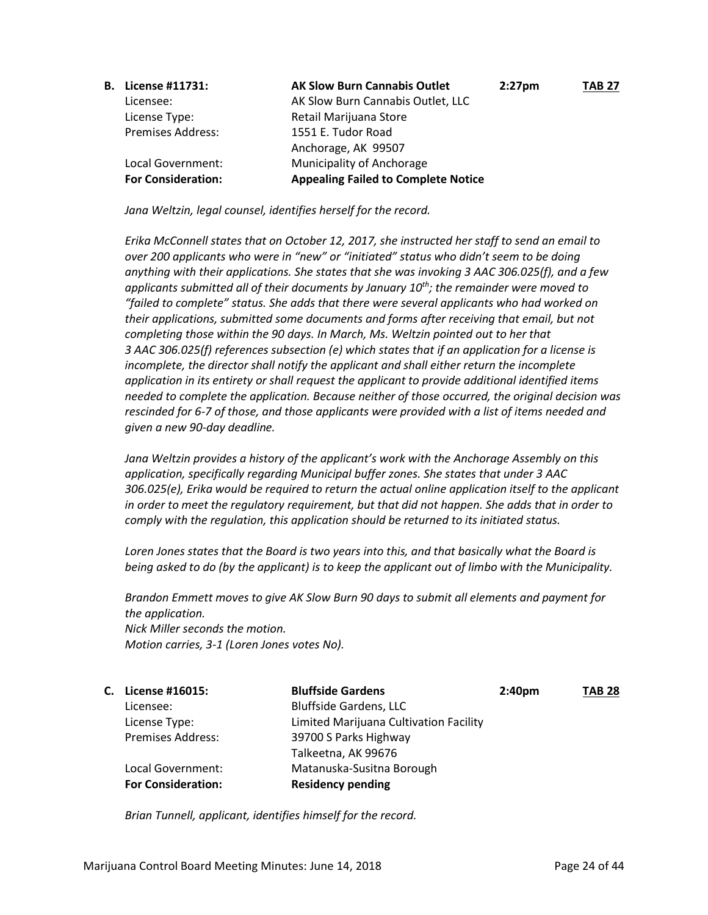| <b>B.</b> License #11731: | <b>AK Slow Burn Cannabis Outlet</b>        | $2:27$ pm | <b>TAB 27</b> |
|---------------------------|--------------------------------------------|-----------|---------------|
| Licensee:                 | AK Slow Burn Cannabis Outlet, LLC          |           |               |
| License Type:             | Retail Marijuana Store                     |           |               |
| <b>Premises Address:</b>  | 1551 E. Tudor Road                         |           |               |
|                           | Anchorage, AK 99507                        |           |               |
| Local Government:         | <b>Municipality of Anchorage</b>           |           |               |
| <b>For Consideration:</b> | <b>Appealing Failed to Complete Notice</b> |           |               |

*Jana Weltzin, legal counsel, identifies herself for the record.*

*Erika McConnell states that on October 12, 2017, she instructed her staff to send an email to over 200 applicants who were in "new" or "initiated" status who didn't seem to be doing anything with their applications. She states that she was invoking 3 AAC 306.025(f), and a few applicants submitted all of their documents by January 10th; the remainder were moved to "failed to complete" status. She adds that there were several applicants who had worked on their applications, submitted some documents and forms after receiving that email, but not completing those within the 90 days. In March, Ms. Weltzin pointed out to her that 3 AAC 306.025(f) references subsection (e) which states that if an application for a license is incomplete, the director shall notify the applicant and shall either return the incomplete application in its entirety or shall request the applicant to provide additional identified items needed to complete the application. Because neither of those occurred, the original decision was rescinded for 6-7 of those, and those applicants were provided with a list of items needed and given a new 90-day deadline.*

*Jana Weltzin provides a history of the applicant's work with the Anchorage Assembly on this application, specifically regarding Municipal buffer zones. She states that under 3 AAC 306.025(e), Erika would be required to return the actual online application itself to the applicant in order to meet the regulatory requirement, but that did not happen. She adds that in order to comply with the regulation, this application should be returned to its initiated status.*

*Loren Jones states that the Board is two years into this, and that basically what the Board is being asked to do (by the applicant) is to keep the applicant out of limbo with the Municipality.*

*Brandon Emmett moves to give AK Slow Burn 90 days to submit all elements and payment for the application. Nick Miller seconds the motion. Motion carries, 3-1 (Loren Jones votes No).*

| C. License #16015:        | <b>Bluffside Gardens</b>               | 2:40 <sub>pm</sub> | <b>TAB 28</b> |
|---------------------------|----------------------------------------|--------------------|---------------|
| Licensee:                 | <b>Bluffside Gardens, LLC</b>          |                    |               |
| License Type:             | Limited Marijuana Cultivation Facility |                    |               |
| <b>Premises Address:</b>  | 39700 S Parks Highway                  |                    |               |
|                           | Talkeetna, AK 99676                    |                    |               |
| Local Government:         | Matanuska-Susitna Borough              |                    |               |
| <b>For Consideration:</b> | <b>Residency pending</b>               |                    |               |

*Brian Tunnell, applicant, identifies himself for the record.*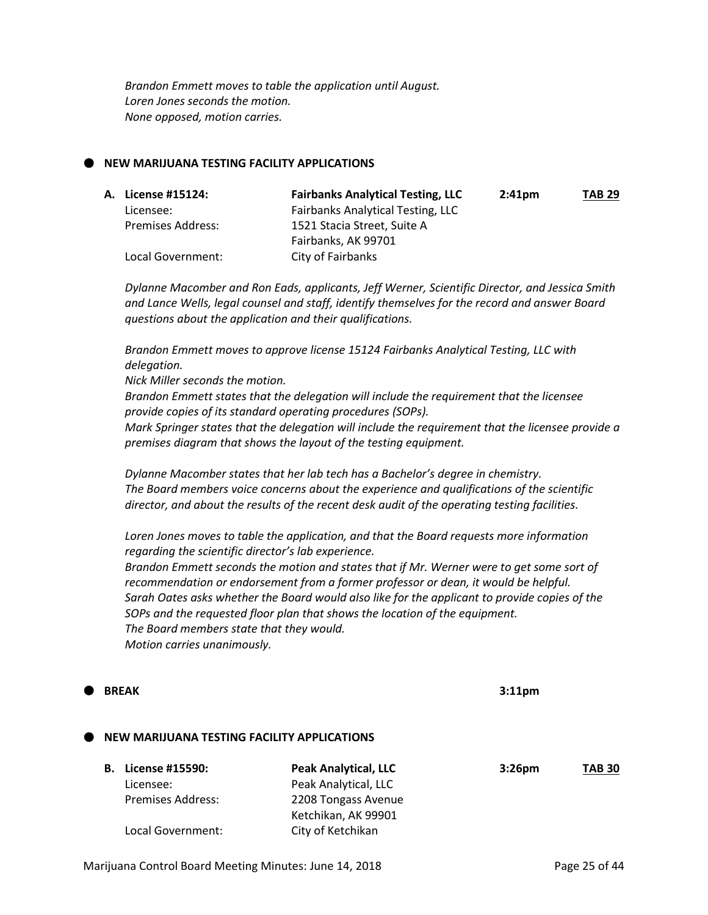*Brandon Emmett moves to table the application until August. Loren Jones seconds the motion. None opposed, motion carries.*

#### **NEW MARIJUANA TESTING FACILITY APPLICATIONS**

| A. License #15124: | <b>Fairbanks Analytical Testing, LLC</b> | $2:41$ pm | <b>TAB 29</b> |
|--------------------|------------------------------------------|-----------|---------------|
| Licensee:          | <b>Fairbanks Analytical Testing, LLC</b> |           |               |
| Premises Address:  | 1521 Stacia Street, Suite A              |           |               |
|                    | Fairbanks, AK 99701                      |           |               |
| Local Government:  | City of Fairbanks                        |           |               |

*Dylanne Macomber and Ron Eads, applicants, Jeff Werner, Scientific Director, and Jessica Smith and Lance Wells, legal counsel and staff, identify themselves for the record and answer Board questions about the application and their qualifications.* 

*Brandon Emmett moves to approve license 15124 Fairbanks Analytical Testing, LLC with delegation.*

*Nick Miller seconds the motion.*

*Brandon Emmett states that the delegation will include the requirement that the licensee provide copies of its standard operating procedures (SOPs).*

*Mark Springer states that the delegation will include the requirement that the licensee provide a premises diagram that shows the layout of the testing equipment.*

*Dylanne Macomber states that her lab tech has a Bachelor's degree in chemistry. The Board members voice concerns about the experience and qualifications of the scientific director, and about the results of the recent desk audit of the operating testing facilities.*

*Loren Jones moves to table the application, and that the Board requests more information regarding the scientific director's lab experience. Brandon Emmett seconds the motion and states that if Mr. Werner were to get some sort of recommendation or endorsement from a former professor or dean, it would be helpful. Sarah Oates asks whether the Board would also like for the applicant to provide copies of the SOPs and the requested floor plan that shows the location of the equipment. The Board members state that they would. Motion carries unanimously.*

# **BREAK 3:11pm NEW MARIJUANA TESTING FACILITY APPLICATIONS B. License #15590: Peak Analytical, LLC 3:26pm TAB 30** Licensee: Peak Analytical, LLC Premises Address: 2208 Tongass Avenue Ketchikan, AK 99901

Marijuana Control Board Meeting Minutes: June 14, 2018 **Page 25 of 44** 

Local Government: City of Ketchikan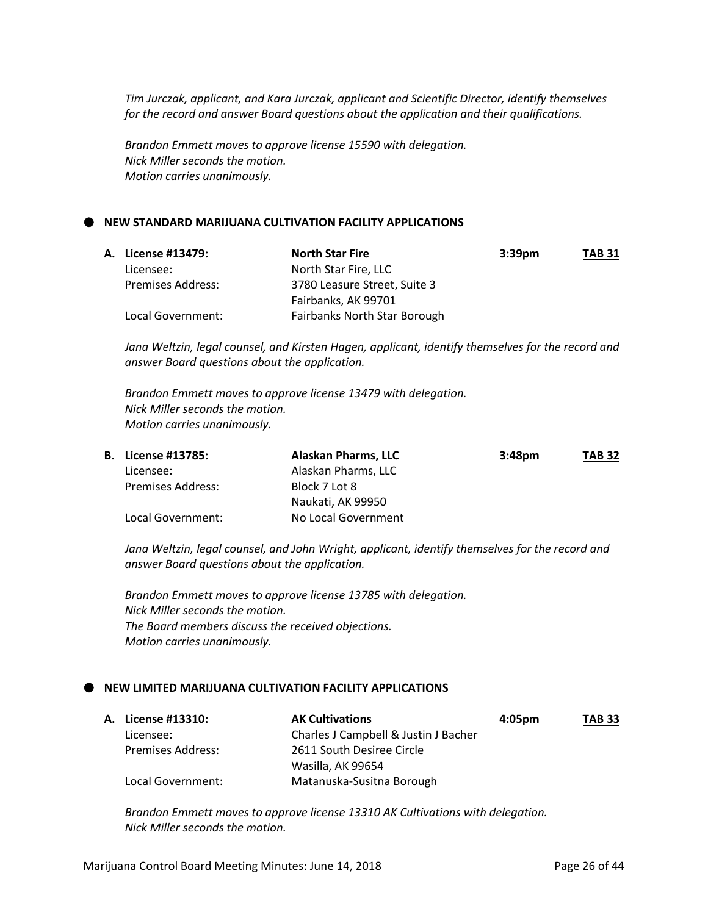*Tim Jurczak, applicant, and Kara Jurczak, applicant and Scientific Director, identify themselves for the record and answer Board questions about the application and their qualifications.*

*Brandon Emmett moves to approve license 15590 with delegation. Nick Miller seconds the motion. Motion carries unanimously.*

#### **NEW STANDARD MARIJUANA CULTIVATION FACILITY APPLICATIONS**

| A. License #13479:       | <b>North Star Fire</b>       | 3:39 <sub>pm</sub> | <b>TAB 31</b> |
|--------------------------|------------------------------|--------------------|---------------|
| Licensee:                | North Star Fire, LLC         |                    |               |
| <b>Premises Address:</b> | 3780 Leasure Street, Suite 3 |                    |               |
|                          | Fairbanks, AK 99701          |                    |               |
| Local Government:        | Fairbanks North Star Borough |                    |               |

*Jana Weltzin, legal counsel, and Kirsten Hagen, applicant, identify themselves for the record and answer Board questions about the application.*

*Brandon Emmett moves to approve license 13479 with delegation. Nick Miller seconds the motion. Motion carries unanimously.*

|  | <b>B.</b> License #13785: | Alaskan Pharms, LLC | 3:48 <sub>pm</sub> | <b>TAB 32</b> |
|--|---------------------------|---------------------|--------------------|---------------|
|  | Licensee:                 | Alaskan Pharms, LLC |                    |               |
|  | Premises Address:         | Block 7 Lot 8       |                    |               |
|  |                           | Naukati, AK 99950   |                    |               |
|  | Local Government:         | No Local Government |                    |               |

*Jana Weltzin, legal counsel, and John Wright, applicant, identify themselves for the record and answer Board questions about the application.*

*Brandon Emmett moves to approve license 13785 with delegation. Nick Miller seconds the motion. The Board members discuss the received objections. Motion carries unanimously.*

#### **NEW LIMITED MARIJUANA CULTIVATION FACILITY APPLICATIONS**

| A. License #13310: | <b>AK Cultivations</b>               | $4:05 \text{pm}$ | <b>TAB 33</b> |
|--------------------|--------------------------------------|------------------|---------------|
| Licensee:          | Charles J Campbell & Justin J Bacher |                  |               |
| Premises Address:  | 2611 South Desiree Circle            |                  |               |
|                    | Wasilla, AK 99654                    |                  |               |
| Local Government:  | Matanuska-Susitna Borough            |                  |               |

*Brandon Emmett moves to approve license 13310 AK Cultivations with delegation. Nick Miller seconds the motion.*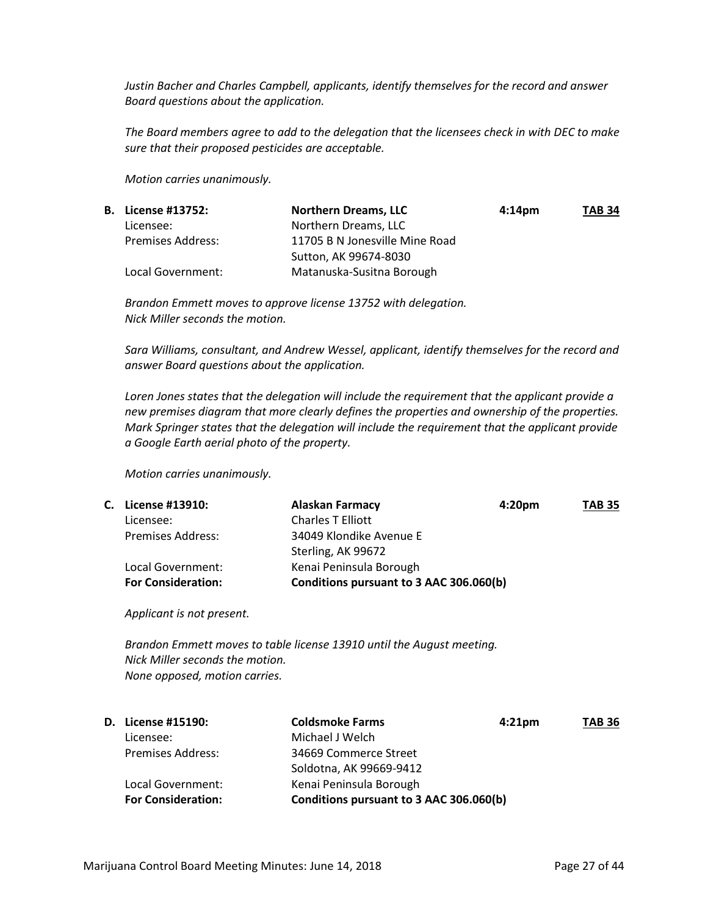*Justin Bacher and Charles Campbell, applicants, identify themselves for the record and answer Board questions about the application.*

*The Board members agree to add to the delegation that the licensees check in with DEC to make sure that their proposed pesticides are acceptable.*

*Motion carries unanimously.*

| <b>B.</b> License #13752: | <b>Northern Dreams, LLC</b>    | 4:14 <sub>pm</sub> | <b>TAB 34</b> |
|---------------------------|--------------------------------|--------------------|---------------|
| Licensee:                 | Northern Dreams, LLC           |                    |               |
| <b>Premises Address:</b>  | 11705 B N Jonesville Mine Road |                    |               |
|                           | Sutton, AK 99674-8030          |                    |               |
| Local Government:         | Matanuska-Susitna Borough      |                    |               |

*Brandon Emmett moves to approve license 13752 with delegation. Nick Miller seconds the motion.*

*Sara Williams, consultant, and Andrew Wessel, applicant, identify themselves for the record and answer Board questions about the application.*

*Loren Jones states that the delegation will include the requirement that the applicant provide a new premises diagram that more clearly defines the properties and ownership of the properties. Mark Springer states that the delegation will include the requirement that the applicant provide a Google Earth aerial photo of the property.*

*Motion carries unanimously.*

|                           | <b>Alaskan Farmacy</b>   | <b>TAB 35</b>                                                 |
|---------------------------|--------------------------|---------------------------------------------------------------|
| Licensee:                 | <b>Charles T Elliott</b> |                                                               |
| <b>Premises Address:</b>  | 34049 Klondike Avenue E  |                                                               |
|                           | Sterling, AK 99672       |                                                               |
| Local Government:         | Kenai Peninsula Borough  |                                                               |
| <b>For Consideration:</b> |                          |                                                               |
|                           | C. License #13910:       | 4:20 <sub>pm</sub><br>Conditions pursuant to 3 AAC 306.060(b) |

*Applicant is not present.*

*Brandon Emmett moves to table license 13910 until the August meeting. Nick Miller seconds the motion. None opposed, motion carries.*

|                           | <b>Coldsmoke Farms</b>                  | <b>TAB 36</b>      |
|---------------------------|-----------------------------------------|--------------------|
| Licensee:                 | Michael J Welch                         |                    |
| <b>Premises Address:</b>  | 34669 Commerce Street                   |                    |
|                           | Soldotna, AK 99669-9412                 |                    |
| Local Government:         | Kenai Peninsula Borough                 |                    |
| <b>For Consideration:</b> | Conditions pursuant to 3 AAC 306.060(b) |                    |
|                           | <b>D.</b> License #15190:               | 4:21 <sub>pm</sub> |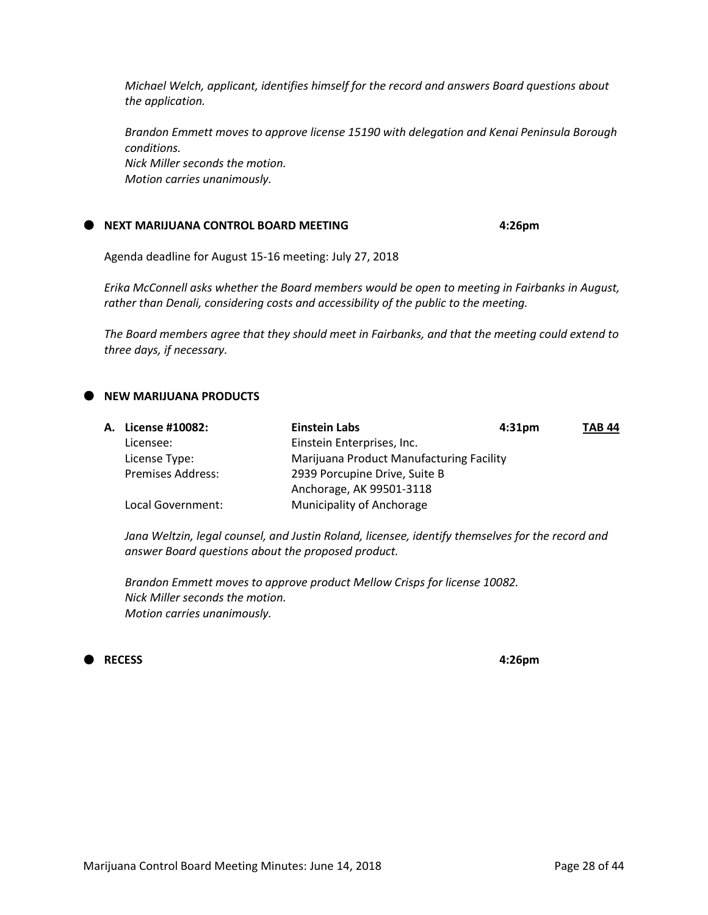*Michael Welch, applicant, identifies himself for the record and answers Board questions about the application.*

*Brandon Emmett moves to approve license 15190 with delegation and Kenai Peninsula Borough conditions. Nick Miller seconds the motion. Motion carries unanimously.*

#### **NEXT MARIJUANA CONTROL BOARD MEETING 4:26pm**

Agenda deadline for August 15-16 meeting: July 27, 2018

*Erika McConnell asks whether the Board members would be open to meeting in Fairbanks in August, rather than Denali, considering costs and accessibility of the public to the meeting.*

*The Board members agree that they should meet in Fairbanks, and that the meeting could extend to three days, if necessary.* 

#### **NEW MARIJUANA PRODUCTS**

| <b>A. License #10082:</b> | <b>Einstein Labs</b>                     | 4:31 <sub>pm</sub> | <b>TAB 44</b> |
|---------------------------|------------------------------------------|--------------------|---------------|
| Licensee:                 | Einstein Enterprises, Inc.               |                    |               |
| License Type:             | Marijuana Product Manufacturing Facility |                    |               |
| <b>Premises Address:</b>  | 2939 Porcupine Drive, Suite B            |                    |               |
|                           | Anchorage, AK 99501-3118                 |                    |               |
| Local Government:         | Municipality of Anchorage                |                    |               |

*Jana Weltzin, legal counsel, and Justin Roland, licensee, identify themselves for the record and answer Board questions about the proposed product.*

*Brandon Emmett moves to approve product Mellow Crisps for license 10082. Nick Miller seconds the motion. Motion carries unanimously.*

### **RECESS 4:26pm**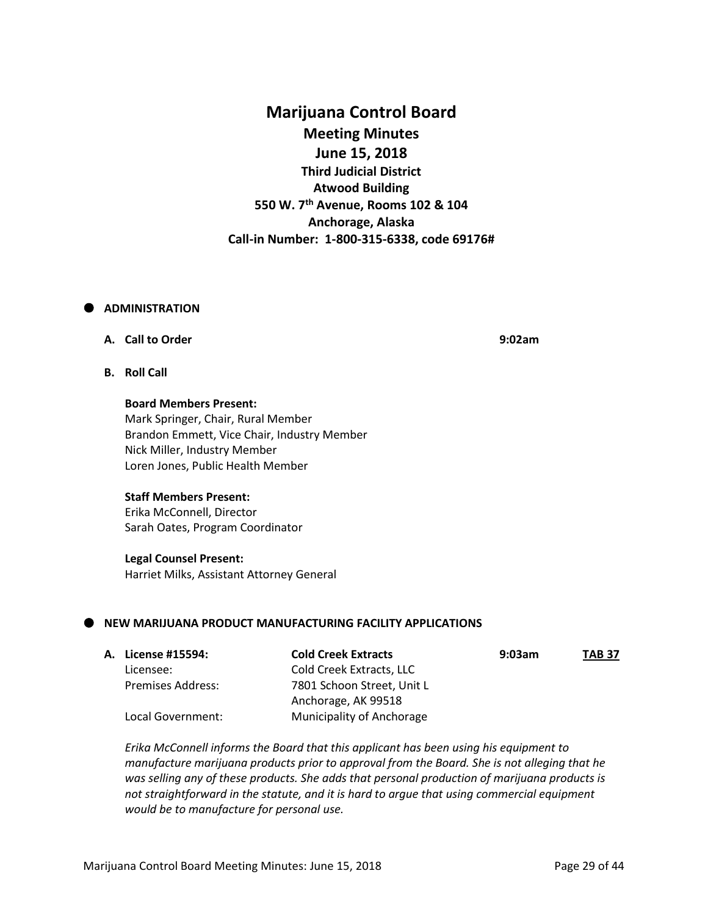## **Marijuana Control Board Meeting Minutes June 15, 2018 Third Judicial District Atwood Building 550 W. 7th Avenue, Rooms 102 & 104 Anchorage, Alaska Call-in Number: 1-800-315-6338, code 69176#**

#### **ADMINISTRATION**

#### **A. Call to Order 9:02am**

**B. Roll Call**

**Board Members Present:** Mark Springer, Chair, Rural Member Brandon Emmett, Vice Chair, Industry Member Nick Miller, Industry Member Loren Jones, Public Health Member

#### **Staff Members Present:**

Erika McConnell, Director Sarah Oates, Program Coordinator

#### **Legal Counsel Present:**

Harriet Milks, Assistant Attorney General

#### **NEW MARIJUANA PRODUCT MANUFACTURING FACILITY APPLICATIONS**

| A. License #15594:       | <b>Cold Creek Extracts</b> | 9:03am | <b>TAB 37</b> |
|--------------------------|----------------------------|--------|---------------|
| Licensee:                | Cold Creek Extracts, LLC   |        |               |
| <b>Premises Address:</b> | 7801 Schoon Street, Unit L |        |               |
|                          | Anchorage, AK 99518        |        |               |
| Local Government:        | Municipality of Anchorage  |        |               |

*Erika McConnell informs the Board that this applicant has been using his equipment to manufacture marijuana products prior to approval from the Board. She is not alleging that he was selling any of these products. She adds that personal production of marijuana products is not straightforward in the statute, and it is hard to argue that using commercial equipment would be to manufacture for personal use.*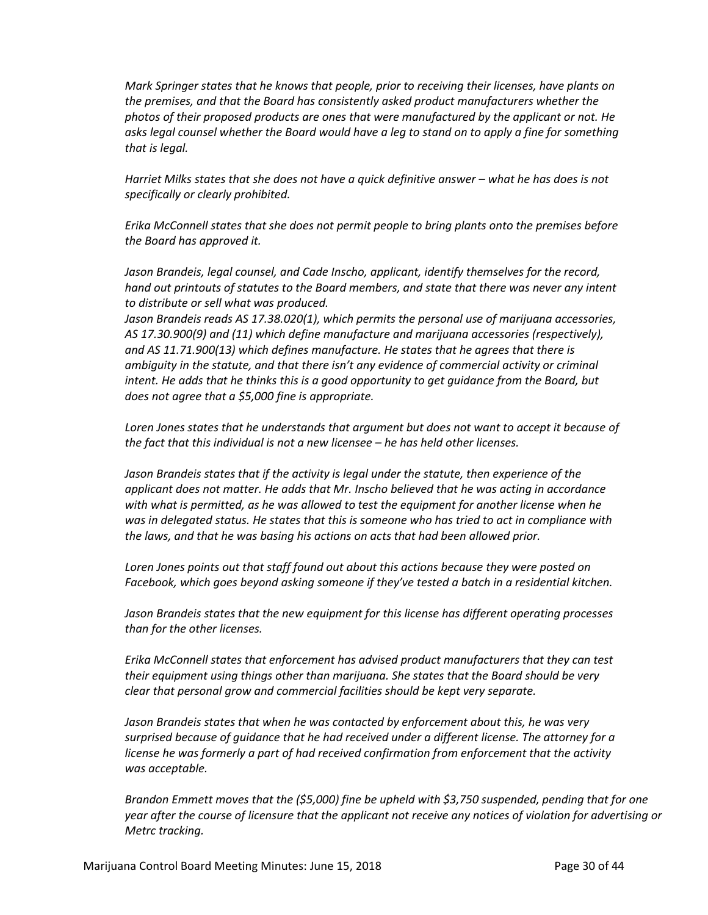*Mark Springer states that he knows that people, prior to receiving their licenses, have plants on the premises, and that the Board has consistently asked product manufacturers whether the photos of their proposed products are ones that were manufactured by the applicant or not. He asks legal counsel whether the Board would have a leg to stand on to apply a fine for something that is legal.*

*Harriet Milks states that she does not have a quick definitive answer – what he has does is not specifically or clearly prohibited.*

*Erika McConnell states that she does not permit people to bring plants onto the premises before the Board has approved it.*

*Jason Brandeis, legal counsel, and Cade Inscho, applicant, identify themselves for the record, hand out printouts of statutes to the Board members, and state that there was never any intent to distribute or sell what was produced.*

*Jason Brandeis reads AS 17.38.020(1), which permits the personal use of marijuana accessories, AS 17.30.900(9) and (11) which define manufacture and marijuana accessories (respectively), and AS 11.71.900(13) which defines manufacture. He states that he agrees that there is ambiguity in the statute, and that there isn't any evidence of commercial activity or criminal intent. He adds that he thinks this is a good opportunity to get guidance from the Board, but does not agree that a \$5,000 fine is appropriate.*

*Loren Jones states that he understands that argument but does not want to accept it because of the fact that this individual is not a new licensee – he has held other licenses.*

*Jason Brandeis states that if the activity is legal under the statute, then experience of the applicant does not matter. He adds that Mr. Inscho believed that he was acting in accordance with what is permitted, as he was allowed to test the equipment for another license when he was in delegated status. He states that this is someone who has tried to act in compliance with the laws, and that he was basing his actions on acts that had been allowed prior.*

*Loren Jones points out that staff found out about this actions because they were posted on Facebook, which goes beyond asking someone if they've tested a batch in a residential kitchen.*

*Jason Brandeis states that the new equipment for this license has different operating processes than for the other licenses.*

*Erika McConnell states that enforcement has advised product manufacturers that they can test their equipment using things other than marijuana. She states that the Board should be very clear that personal grow and commercial facilities should be kept very separate.*

*Jason Brandeis states that when he was contacted by enforcement about this, he was very surprised because of guidance that he had received under a different license. The attorney for a license he was formerly a part of had received confirmation from enforcement that the activity was acceptable.*

*Brandon Emmett moves that the (\$5,000) fine be upheld with \$3,750 suspended, pending that for one year after the course of licensure that the applicant not receive any notices of violation for advertising or Metrc tracking.*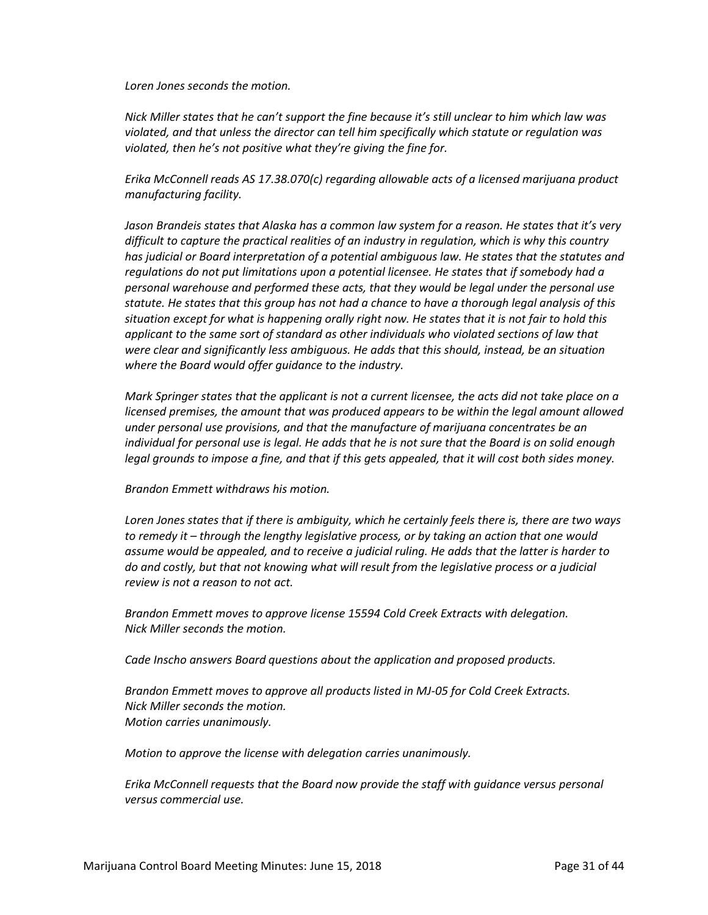*Loren Jones seconds the motion.*

*Nick Miller states that he can't support the fine because it's still unclear to him which law was violated, and that unless the director can tell him specifically which statute or regulation was violated, then he's not positive what they're giving the fine for.*

*Erika McConnell reads AS 17.38.070(c) regarding allowable acts of a licensed marijuana product manufacturing facility.*

*Jason Brandeis states that Alaska has a common law system for a reason. He states that it's very difficult to capture the practical realities of an industry in regulation, which is why this country has judicial or Board interpretation of a potential ambiguous law. He states that the statutes and regulations do not put limitations upon a potential licensee. He states that if somebody had a personal warehouse and performed these acts, that they would be legal under the personal use statute. He states that this group has not had a chance to have a thorough legal analysis of this situation except for what is happening orally right now. He states that it is not fair to hold this applicant to the same sort of standard as other individuals who violated sections of law that were clear and significantly less ambiguous. He adds that this should, instead, be an situation where the Board would offer guidance to the industry.*

*Mark Springer states that the applicant is not a current licensee, the acts did not take place on a licensed premises, the amount that was produced appears to be within the legal amount allowed under personal use provisions, and that the manufacture of marijuana concentrates be an individual for personal use is legal. He adds that he is not sure that the Board is on solid enough legal grounds to impose a fine, and that if this gets appealed, that it will cost both sides money.*

*Brandon Emmett withdraws his motion.*

*Loren Jones states that if there is ambiguity, which he certainly feels there is, there are two ways to remedy it – through the lengthy legislative process, or by taking an action that one would assume would be appealed, and to receive a judicial ruling. He adds that the latter is harder to do and costly, but that not knowing what will result from the legislative process or a judicial review is not a reason to not act.*

*Brandon Emmett moves to approve license 15594 Cold Creek Extracts with delegation. Nick Miller seconds the motion.*

*Cade Inscho answers Board questions about the application and proposed products.*

*Brandon Emmett moves to approve all products listed in MJ-05 for Cold Creek Extracts. Nick Miller seconds the motion. Motion carries unanimously.*

*Motion to approve the license with delegation carries unanimously.*

*Erika McConnell requests that the Board now provide the staff with guidance versus personal versus commercial use.*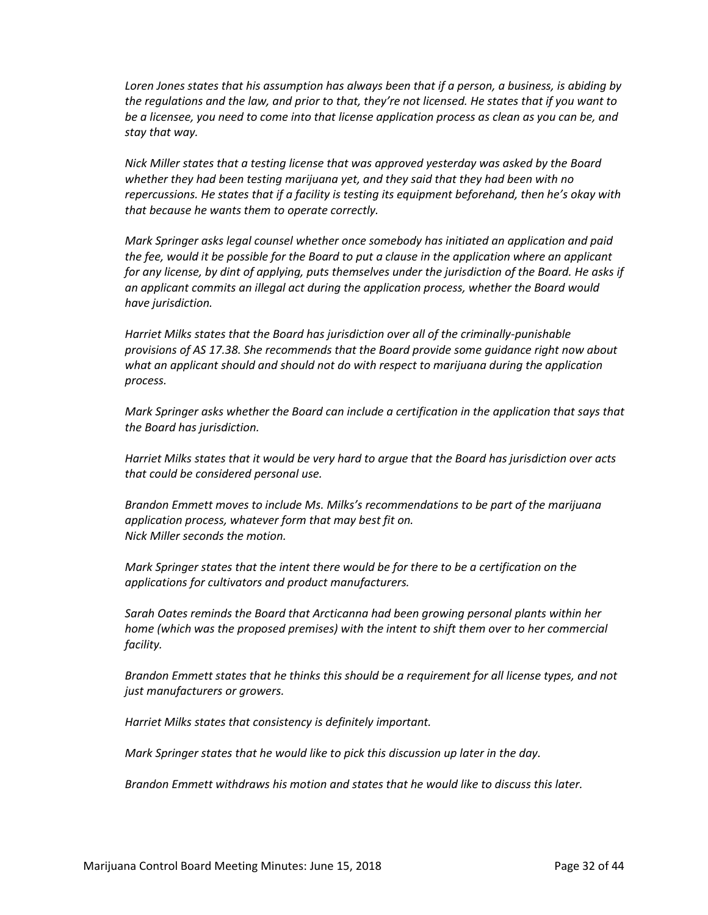*Loren Jones states that his assumption has always been that if a person, a business, is abiding by the regulations and the law, and prior to that, they're not licensed. He states that if you want to be a licensee, you need to come into that license application process as clean as you can be, and stay that way.* 

*Nick Miller states that a testing license that was approved yesterday was asked by the Board whether they had been testing marijuana yet, and they said that they had been with no repercussions. He states that if a facility is testing its equipment beforehand, then he's okay with that because he wants them to operate correctly.*

*Mark Springer asks legal counsel whether once somebody has initiated an application and paid the fee, would it be possible for the Board to put a clause in the application where an applicant for any license, by dint of applying, puts themselves under the jurisdiction of the Board. He asks if an applicant commits an illegal act during the application process, whether the Board would have jurisdiction.*

*Harriet Milks states that the Board has jurisdiction over all of the criminally-punishable provisions of AS 17.38. She recommends that the Board provide some guidance right now about what an applicant should and should not do with respect to marijuana during the application process.*

*Mark Springer asks whether the Board can include a certification in the application that says that the Board has jurisdiction.*

*Harriet Milks states that it would be very hard to argue that the Board has jurisdiction over acts that could be considered personal use.*

*Brandon Emmett moves to include Ms. Milks's recommendations to be part of the marijuana application process, whatever form that may best fit on. Nick Miller seconds the motion.*

*Mark Springer states that the intent there would be for there to be a certification on the applications for cultivators and product manufacturers.*

*Sarah Oates reminds the Board that Arcticanna had been growing personal plants within her home (which was the proposed premises) with the intent to shift them over to her commercial facility.*

*Brandon Emmett states that he thinks this should be a requirement for all license types, and not just manufacturers or growers.*

*Harriet Milks states that consistency is definitely important.*

*Mark Springer states that he would like to pick this discussion up later in the day.*

*Brandon Emmett withdraws his motion and states that he would like to discuss this later.*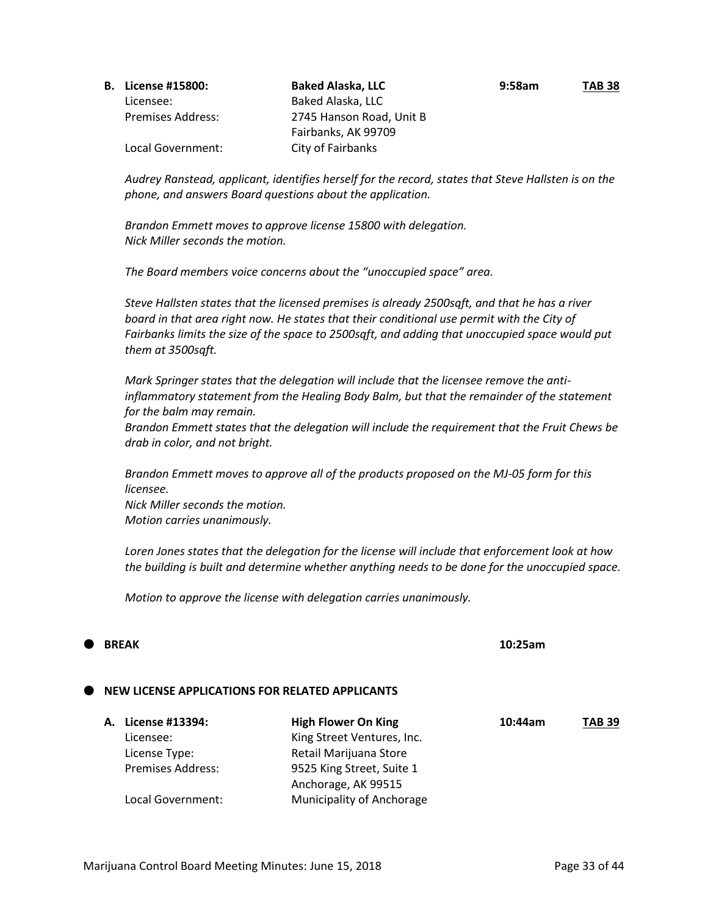| ______________________ |  |
|------------------------|--|
|                        |  |
|                        |  |
|                        |  |
|                        |  |
|                        |  |

Marijuana Control Board Meeting Minutes: June 15, 2018 **Page 33 of 44** Page 33 of 44

|  | <b>B.</b> License #15800: | <b>Baked Alaska, LLC</b> | 9:58am | <b>TAB 38</b> |
|--|---------------------------|--------------------------|--------|---------------|
|  | Licensee:                 | Baked Alaska, LLC        |        |               |
|  | <b>Premises Address:</b>  | 2745 Hanson Road, Unit B |        |               |
|  |                           | Fairbanks, AK 99709      |        |               |
|  | Local Government:         | City of Fairbanks        |        |               |

*Audrey Ranstead, applicant, identifies herself for the record, states that Steve Hallsten is on the phone, and answers Board questions about the application.*

*Brandon Emmett moves to approve license 15800 with delegation. Nick Miller seconds the motion.*

*The Board members voice concerns about the "unoccupied space" area.*

*Steve Hallsten states that the licensed premises is already 2500sqft, and that he has a river*  board in that area right now. He states that their conditional use permit with the City of *Fairbanks limits the size of the space to 2500sqft, and adding that unoccupied space would put them at 3500sqft.*

*Mark Springer states that the delegation will include that the licensee remove the antiinflammatory statement from the Healing Body Balm, but that the remainder of the statement for the balm may remain.*

*Brandon Emmett states that the delegation will include the requirement that the Fruit Chews be drab in color, and not bright.*

*Brandon Emmett moves to approve all of the products proposed on the MJ-05 form for this licensee. Nick Miller seconds the motion. Motion carries unanimously.* 

*Loren Jones states that the delegation for the license will include that enforcement look at how the building is built and determine whether anything needs to be done for the unoccupied space.*

*Motion to approve the license with delegation carries unanimously.*

## **BREAK 10:25am**

## **NEW LICENSE APPLICATIONS FOR RELATED APPLICANTS**

| A. License #13394:       | <b>High Flower On King</b> | 10:44am | <b>TAB 39</b> |
|--------------------------|----------------------------|---------|---------------|
| Licensee:                | King Street Ventures, Inc. |         |               |
| License Type:            | Retail Marijuana Store     |         |               |
| <b>Premises Address:</b> | 9525 King Street, Suite 1  |         |               |
|                          | Anchorage, AK 99515        |         |               |
| Local Government:        | Municipality of Anchorage  |         |               |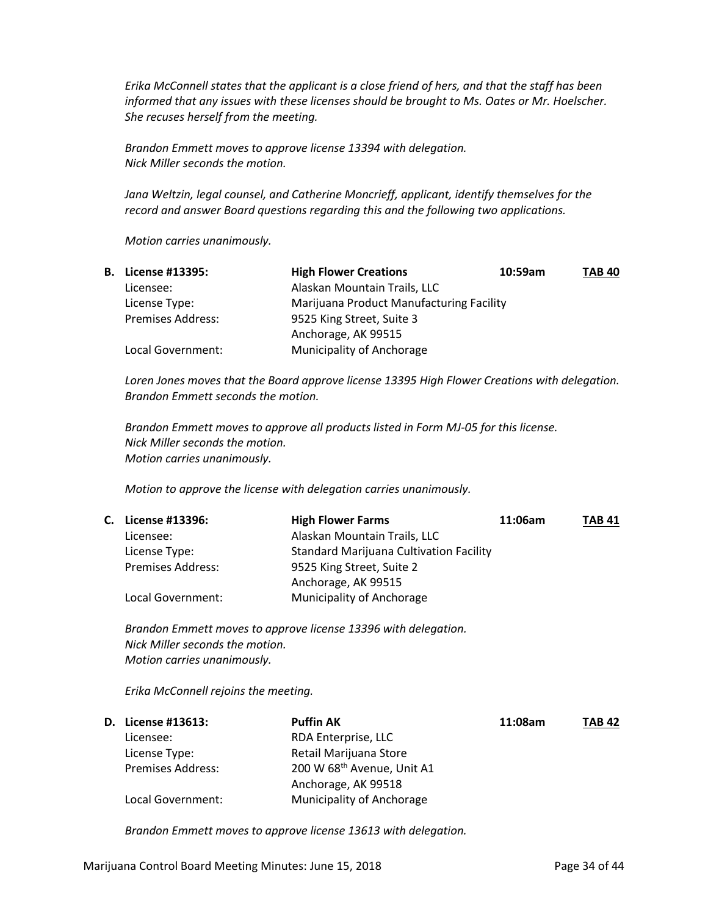*Erika McConnell states that the applicant is a close friend of hers, and that the staff has been informed that any issues with these licenses should be brought to Ms. Oates or Mr. Hoelscher. She recuses herself from the meeting.*

*Brandon Emmett moves to approve license 13394 with delegation. Nick Miller seconds the motion.*

*Jana Weltzin, legal counsel, and Catherine Moncrieff, applicant, identify themselves for the record and answer Board questions regarding this and the following two applications.*

*Motion carries unanimously.*

| <b>B.</b> License #13395: | <b>High Flower Creations</b>             | 10:59am | <b>TAB 40</b> |
|---------------------------|------------------------------------------|---------|---------------|
| Licensee:                 | Alaskan Mountain Trails, LLC             |         |               |
| License Type:             | Marijuana Product Manufacturing Facility |         |               |
| <b>Premises Address:</b>  | 9525 King Street, Suite 3                |         |               |
|                           | Anchorage, AK 99515                      |         |               |
| Local Government:         | <b>Municipality of Anchorage</b>         |         |               |

*Loren Jones moves that the Board approve license 13395 High Flower Creations with delegation. Brandon Emmett seconds the motion.*

*Brandon Emmett moves to approve all products listed in Form MJ-05 for this license. Nick Miller seconds the motion. Motion carries unanimously.*

*Motion to approve the license with delegation carries unanimously.*

| C. License #13396:       | <b>High Flower Farms</b>                       | 11:06am | <b>TAB 41</b> |
|--------------------------|------------------------------------------------|---------|---------------|
| Licensee:                | Alaskan Mountain Trails, LLC                   |         |               |
| License Type:            | <b>Standard Marijuana Cultivation Facility</b> |         |               |
| <b>Premises Address:</b> | 9525 King Street, Suite 2                      |         |               |
|                          | Anchorage, AK 99515                            |         |               |
| Local Government:        | Municipality of Anchorage                      |         |               |

*Brandon Emmett moves to approve license 13396 with delegation. Nick Miller seconds the motion. Motion carries unanimously.*

*Erika McConnell rejoins the meeting.*

| D. License #13613:       | <b>Puffin AK</b>                       | 11:08am | <b>TAB 42</b> |
|--------------------------|----------------------------------------|---------|---------------|
| Licensee:                | RDA Enterprise, LLC                    |         |               |
| License Type:            | Retail Marijuana Store                 |         |               |
| <b>Premises Address:</b> | 200 W 68 <sup>th</sup> Avenue, Unit A1 |         |               |
|                          | Anchorage, AK 99518                    |         |               |
| Local Government:        | <b>Municipality of Anchorage</b>       |         |               |

*Brandon Emmett moves to approve license 13613 with delegation.*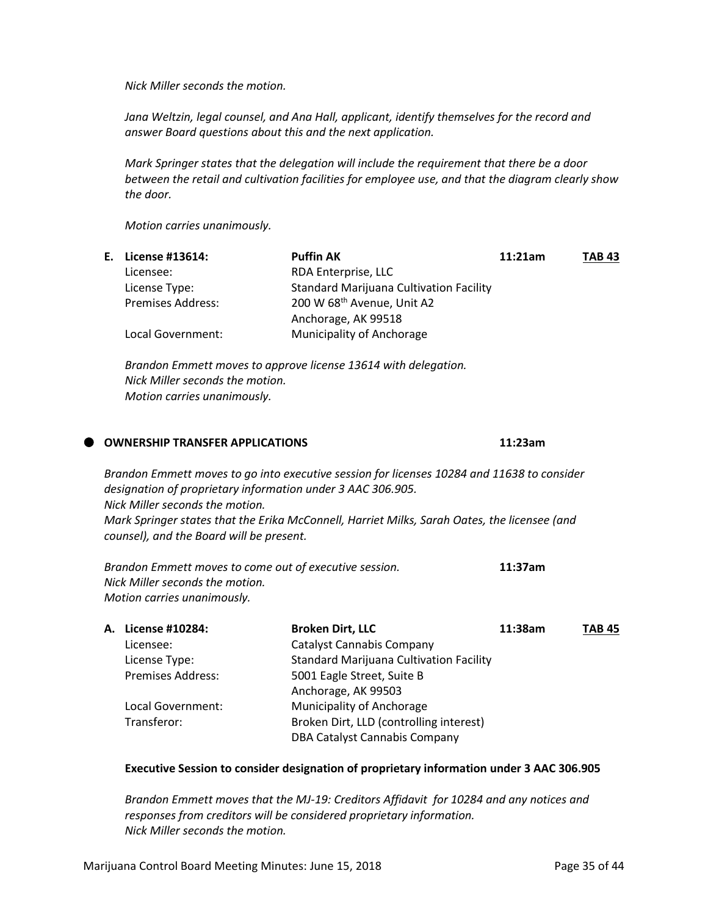*Nick Miller seconds the motion.*

*Jana Weltzin, legal counsel, and Ana Hall, applicant, identify themselves for the record and answer Board questions about this and the next application.*

*Mark Springer states that the delegation will include the requirement that there be a door between the retail and cultivation facilities for employee use, and that the diagram clearly show the door.*

*Motion carries unanimously.*

|                          | <b>Puffin AK</b>                               | 11:21am | <b>TAB 43</b> |
|--------------------------|------------------------------------------------|---------|---------------|
| Licensee:                | RDA Enterprise, LLC                            |         |               |
| License Type:            | <b>Standard Marijuana Cultivation Facility</b> |         |               |
| <b>Premises Address:</b> | 200 W 68th Avenue, Unit A2                     |         |               |
|                          | Anchorage, AK 99518                            |         |               |
| Local Government:        | Municipality of Anchorage                      |         |               |
|                          | E. License #13614:                             |         |               |

*Brandon Emmett moves to approve license 13614 with delegation. Nick Miller seconds the motion. Motion carries unanimously.*

|  | <b>OWNERSHIP TRANSFER APPLICATIONS</b>                                                                                                     |                                                                                                                                                                                                                                                                             | 11:23am |        |
|--|--------------------------------------------------------------------------------------------------------------------------------------------|-----------------------------------------------------------------------------------------------------------------------------------------------------------------------------------------------------------------------------------------------------------------------------|---------|--------|
|  | designation of proprietary information under 3 AAC 306.905.<br>Nick Miller seconds the motion.<br>counsel), and the Board will be present. | Brandon Emmett moves to go into executive session for licenses 10284 and 11638 to consider<br>Mark Springer states that the Erika McConnell, Harriet Milks, Sarah Oates, the licensee (and                                                                                  |         |        |
|  | Brandon Emmett moves to come out of executive session.<br>Nick Miller seconds the motion.<br>Motion carries unanimously.                   |                                                                                                                                                                                                                                                                             | 11:37am |        |
|  | A. License #10284:<br>Licensee:<br>License Type:<br><b>Premises Address:</b><br>Local Government:<br>Transferor:                           | <b>Broken Dirt, LLC</b><br>Catalyst Cannabis Company<br><b>Standard Marijuana Cultivation Facility</b><br>5001 Eagle Street, Suite B<br>Anchorage, AK 99503<br>Municipality of Anchorage<br>Broken Dirt, LLD (controlling interest)<br><b>DBA Catalyst Cannabis Company</b> | 11:38am | TAB 45 |

#### **Executive Session to consider designation of proprietary information under 3 AAC 306.905**

*Brandon Emmett moves that the MJ-19: Creditors Affidavit for 10284 and any notices and responses from creditors will be considered proprietary information. Nick Miller seconds the motion.*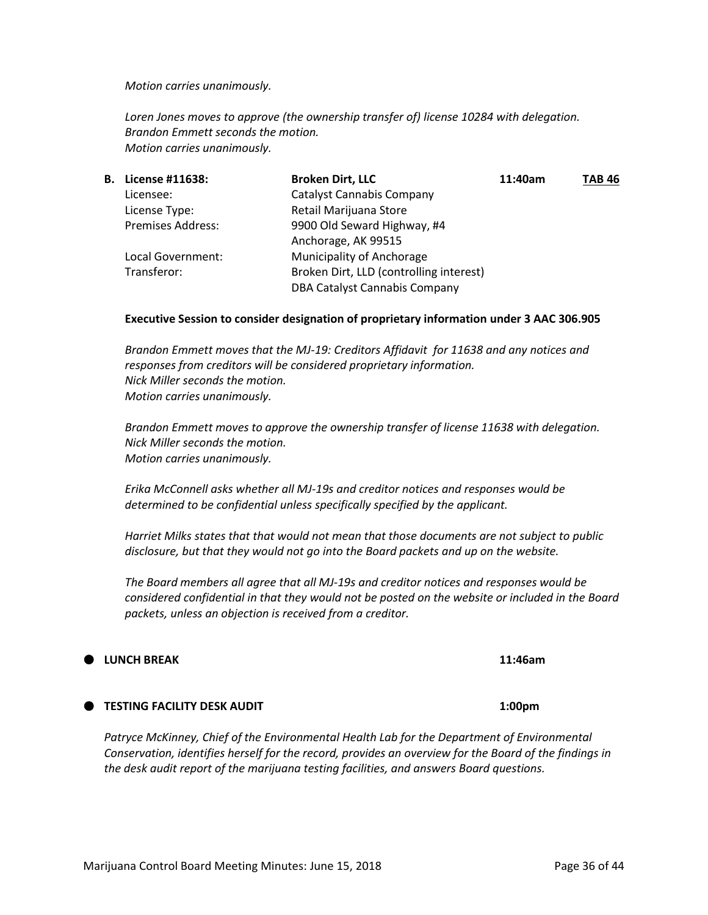#### *Motion carries unanimously.*

*Loren Jones moves to approve (the ownership transfer of) license 10284 with delegation. Brandon Emmett seconds the motion. Motion carries unanimously.*

| License #11638:          | <b>Broken Dirt, LLC</b>                 | 11:40am | <b>TAB 46</b> |
|--------------------------|-----------------------------------------|---------|---------------|
| Licensee:                | <b>Catalyst Cannabis Company</b>        |         |               |
| License Type:            | Retail Marijuana Store                  |         |               |
| <b>Premises Address:</b> | 9900 Old Seward Highway, #4             |         |               |
|                          | Anchorage, AK 99515                     |         |               |
| Local Government:        | Municipality of Anchorage               |         |               |
| Transferor:              | Broken Dirt, LLD (controlling interest) |         |               |
|                          | <b>DBA Catalyst Cannabis Company</b>    |         |               |
|                          |                                         |         |               |

#### **Executive Session to consider designation of proprietary information under 3 AAC 306.905**

*Brandon Emmett moves that the MJ-19: Creditors Affidavit for 11638 and any notices and responses from creditors will be considered proprietary information. Nick Miller seconds the motion. Motion carries unanimously.*

*Brandon Emmett moves to approve the ownership transfer of license 11638 with delegation. Nick Miller seconds the motion. Motion carries unanimously.*

*Erika McConnell asks whether all MJ-19s and creditor notices and responses would be determined to be confidential unless specifically specified by the applicant.*

*Harriet Milks states that that would not mean that those documents are not subject to public disclosure, but that they would not go into the Board packets and up on the website.*

*The Board members all agree that all MJ-19s and creditor notices and responses would be considered confidential in that they would not be posted on the website or included in the Board packets, unless an objection is received from a creditor.*

#### **TESTING FACILITY DESK AUDIT 1:00pm**

Patryce McKinney, Chief of the Environmental Health Lab for the Department of Environmental *Conservation, identifies herself for the record, provides an overview for the Board of the findings in the desk audit report of the marijuana testing facilities, and answers Board questions.*

## **LUNCH BREAK 11:46am**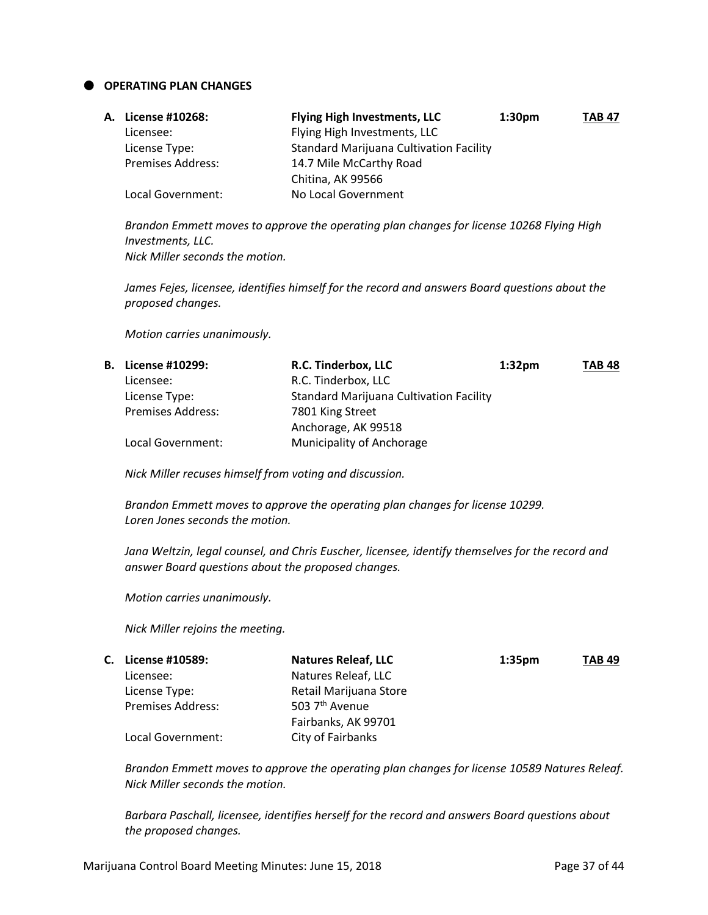**OPERATING PLAN CHANGES**

| <b>A. License #10268:</b> | <b>Flying High Investments, LLC</b>            | 1:30 <sub>pm</sub> | <b>TAB 47</b> |
|---------------------------|------------------------------------------------|--------------------|---------------|
| Licensee:                 | Flying High Investments, LLC                   |                    |               |
| License Type:             | <b>Standard Marijuana Cultivation Facility</b> |                    |               |
| <b>Premises Address:</b>  | 14.7 Mile McCarthy Road                        |                    |               |
|                           | Chitina, AK 99566                              |                    |               |
| Local Government:         | No Local Government                            |                    |               |

*Brandon Emmett moves to approve the operating plan changes for license 10268 Flying High Investments, LLC. Nick Miller seconds the motion.*

*James Fejes, licensee, identifies himself for the record and answers Board questions about the proposed changes.*

*Motion carries unanimously.* 

| <b>B.</b> License #10299: | R.C. Tinderbox, LLC       | 1:32 <sub>pm</sub> | <b>TAB 48</b>                                  |
|---------------------------|---------------------------|--------------------|------------------------------------------------|
| Licensee:                 | R.C. Tinderbox, LLC       |                    |                                                |
| License Type:             |                           |                    |                                                |
| <b>Premises Address:</b>  | 7801 King Street          |                    |                                                |
|                           | Anchorage, AK 99518       |                    |                                                |
| Local Government:         | Municipality of Anchorage |                    |                                                |
|                           |                           |                    | <b>Standard Marijuana Cultivation Facility</b> |

*Nick Miller recuses himself from voting and discussion.*

*Brandon Emmett moves to approve the operating plan changes for license 10299. Loren Jones seconds the motion.*

*Jana Weltzin, legal counsel, and Chris Euscher, licensee, identify themselves for the record and answer Board questions about the proposed changes.*

*Motion carries unanimously.* 

*Nick Miller rejoins the meeting.*

| C. License #10589:       | <b>Natures Releaf, LLC</b> | 1:35 <sub>pm</sub> | <b>TAB 49</b> |
|--------------------------|----------------------------|--------------------|---------------|
| Licensee:                | Natures Releaf, LLC        |                    |               |
| License Type:            | Retail Marijuana Store     |                    |               |
| <b>Premises Address:</b> | 503 7 <sup>th</sup> Avenue |                    |               |
|                          | Fairbanks, AK 99701        |                    |               |
| Local Government:        | City of Fairbanks          |                    |               |

*Brandon Emmett moves to approve the operating plan changes for license 10589 Natures Releaf. Nick Miller seconds the motion.*

*Barbara Paschall, licensee, identifies herself for the record and answers Board questions about the proposed changes.*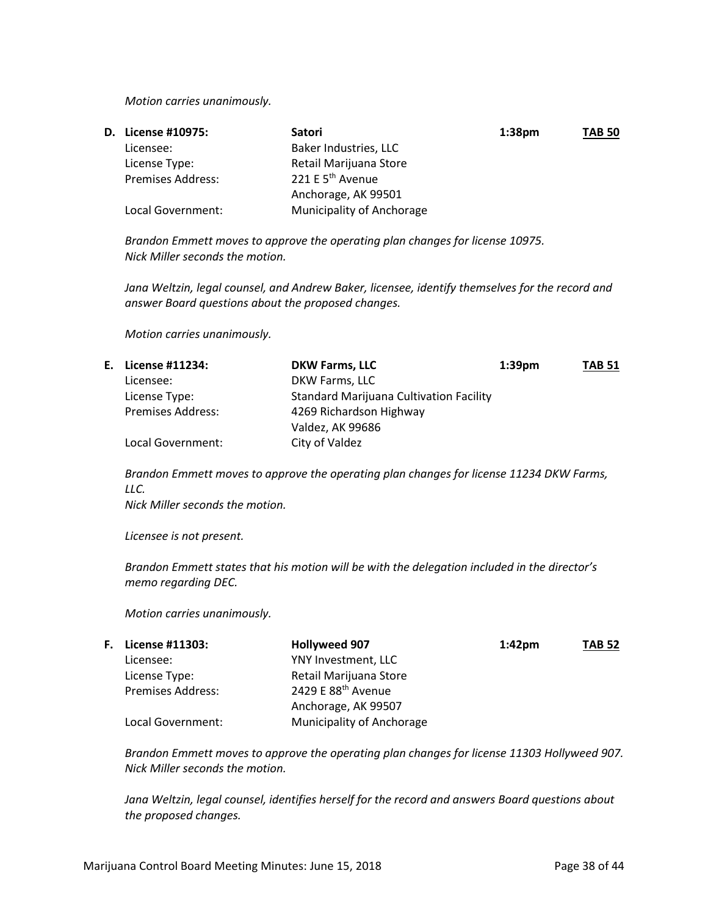*Motion carries unanimously.* 

| <b>D.</b> License #10975: | <b>Satori</b>                    | 1:38 <sub>pm</sub> | <b>TAB 50</b> |
|---------------------------|----------------------------------|--------------------|---------------|
| Licensee:                 | Baker Industries, LLC            |                    |               |
| License Type:             | Retail Marijuana Store           |                    |               |
| <b>Premises Address:</b>  | 221 E 5 <sup>th</sup> Avenue     |                    |               |
|                           | Anchorage, AK 99501              |                    |               |
| Local Government:         | <b>Municipality of Anchorage</b> |                    |               |

*Brandon Emmett moves to approve the operating plan changes for license 10975. Nick Miller seconds the motion.*

*Jana Weltzin, legal counsel, and Andrew Baker, licensee, identify themselves for the record and answer Board questions about the proposed changes.*

*Motion carries unanimously.* 

|                          | <b>DKW Farms, LLC</b>   | 1:39 <sub>pm</sub> | <b>TAB 51</b>                                  |
|--------------------------|-------------------------|--------------------|------------------------------------------------|
| Licensee:                | DKW Farms, LLC          |                    |                                                |
| License Type:            |                         |                    |                                                |
| <b>Premises Address:</b> | 4269 Richardson Highway |                    |                                                |
|                          | Valdez, AK 99686        |                    |                                                |
| Local Government:        | City of Valdez          |                    |                                                |
|                          | E. License #11234:      |                    | <b>Standard Marijuana Cultivation Facility</b> |

*Brandon Emmett moves to approve the operating plan changes for license 11234 DKW Farms, LLC.*

*Nick Miller seconds the motion.*

*Licensee is not present.*

*Brandon Emmett states that his motion will be with the delegation included in the director's memo regarding DEC.*

*Motion carries unanimously.* 

| <b>F.</b> License #11303: | <b>Hollyweed 907</b>      | $1:42$ pm | <b>TAB 52</b> |
|---------------------------|---------------------------|-----------|---------------|
| Licensee:                 | YNY Investment, LLC       |           |               |
| License Type:             | Retail Marijuana Store    |           |               |
| <b>Premises Address:</b>  | 2429 E 88th Avenue        |           |               |
|                           | Anchorage, AK 99507       |           |               |
| Local Government:         | Municipality of Anchorage |           |               |

*Brandon Emmett moves to approve the operating plan changes for license 11303 Hollyweed 907. Nick Miller seconds the motion.*

*Jana Weltzin, legal counsel, identifies herself for the record and answers Board questions about the proposed changes.*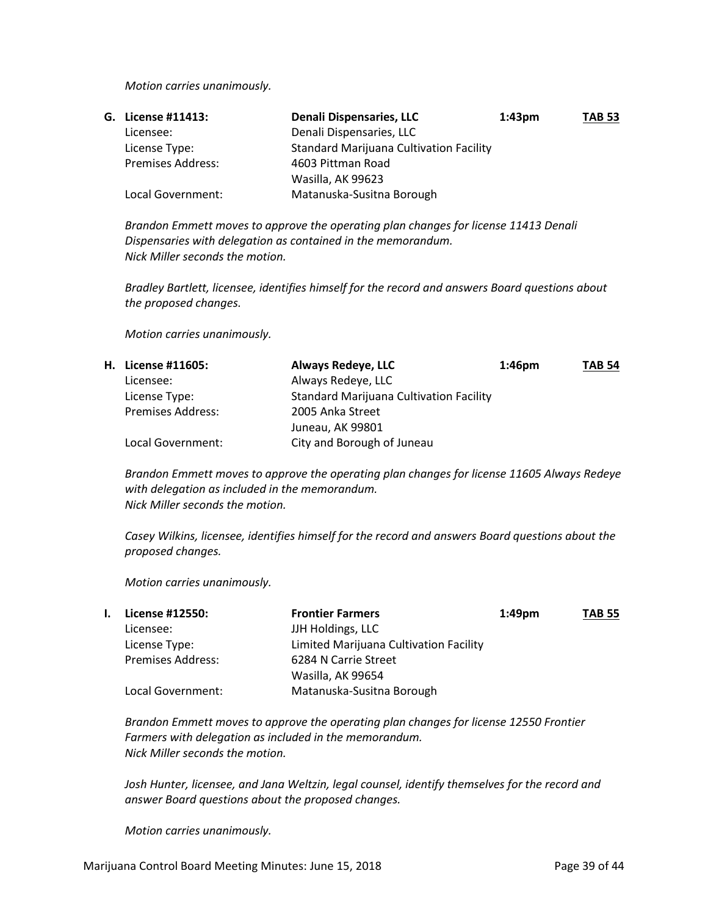*Motion carries unanimously.* 

| G. License #11413:       | Denali Dispensaries, LLC                       | $1:43 \text{pm}$ | <b>TAB 53</b> |
|--------------------------|------------------------------------------------|------------------|---------------|
| Licensee:                | Denali Dispensaries, LLC                       |                  |               |
| License Type:            | <b>Standard Marijuana Cultivation Facility</b> |                  |               |
| <b>Premises Address:</b> | 4603 Pittman Road                              |                  |               |
|                          | Wasilla, AK 99623                              |                  |               |
| Local Government:        | Matanuska-Susitna Borough                      |                  |               |

*Brandon Emmett moves to approve the operating plan changes for license 11413 Denali Dispensaries with delegation as contained in the memorandum. Nick Miller seconds the motion.*

*Bradley Bartlett, licensee, identifies himself for the record and answers Board questions about the proposed changes.*

*Motion carries unanimously.* 

| H. License #11605:       | <b>Always Redeye, LLC</b>                      | $1:46$ pm | <b>TAB 54</b> |
|--------------------------|------------------------------------------------|-----------|---------------|
| Licensee:                | Always Redeye, LLC                             |           |               |
| License Type:            | <b>Standard Marijuana Cultivation Facility</b> |           |               |
| <b>Premises Address:</b> | 2005 Anka Street                               |           |               |
|                          | Juneau, AK 99801                               |           |               |
| Local Government:        | City and Borough of Juneau                     |           |               |

*Brandon Emmett moves to approve the operating plan changes for license 11605 Always Redeye with delegation as included in the memorandum. Nick Miller seconds the motion.*

*Casey Wilkins, licensee, identifies himself for the record and answers Board questions about the proposed changes.*

*Motion carries unanimously.* 

|  | License #12550:          | <b>Frontier Farmers</b>                | $1:49$ pm | <b>TAB 55</b> |
|--|--------------------------|----------------------------------------|-----------|---------------|
|  | Licensee:                | JJH Holdings, LLC                      |           |               |
|  | License Type:            | Limited Marijuana Cultivation Facility |           |               |
|  | <b>Premises Address:</b> | 6284 N Carrie Street                   |           |               |
|  |                          | Wasilla, AK 99654                      |           |               |
|  | Local Government:        | Matanuska-Susitna Borough              |           |               |

*Brandon Emmett moves to approve the operating plan changes for license 12550 Frontier Farmers with delegation as included in the memorandum. Nick Miller seconds the motion.*

*Josh Hunter, licensee, and Jana Weltzin, legal counsel, identify themselves for the record and answer Board questions about the proposed changes.*

*Motion carries unanimously.*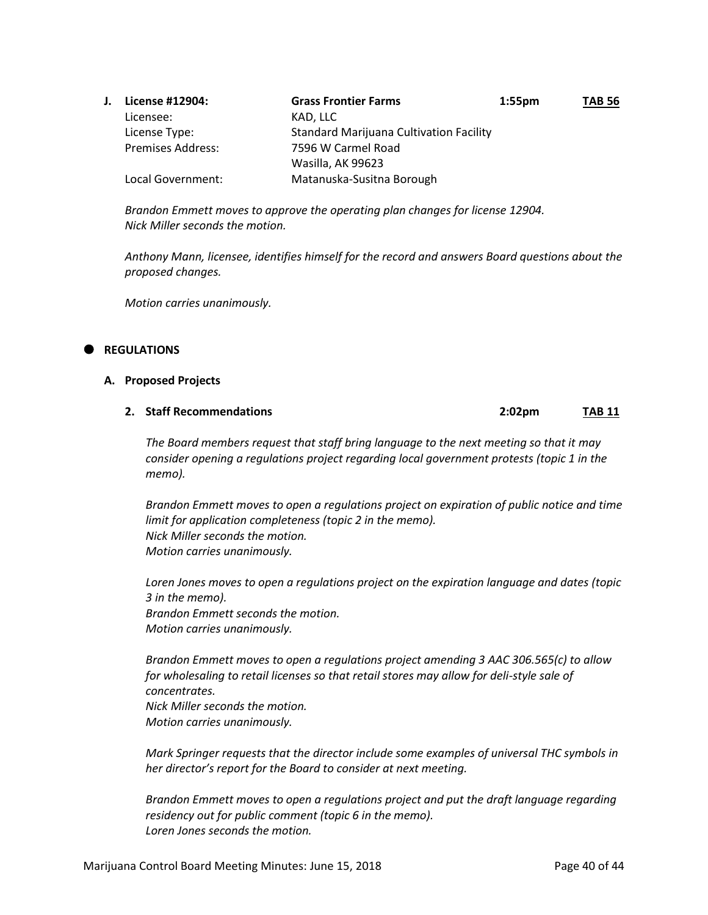| License #12904:          | <b>Grass Frontier Farms</b>                    | $1:55$ pm | <b>TAB 56</b> |
|--------------------------|------------------------------------------------|-----------|---------------|
| Licensee:                | KAD, LLC                                       |           |               |
| License Type:            | <b>Standard Marijuana Cultivation Facility</b> |           |               |
| <b>Premises Address:</b> | 7596 W Carmel Road                             |           |               |
|                          | Wasilla, AK 99623                              |           |               |
| Local Government:        | Matanuska-Susitna Borough                      |           |               |

*Brandon Emmett moves to approve the operating plan changes for license 12904. Nick Miller seconds the motion.*

*Anthony Mann, licensee, identifies himself for the record and answers Board questions about the proposed changes.*

*Motion carries unanimously.* 

#### **REGULATIONS**

**A. Proposed Projects**

#### **2. Staff Recommendations 2:02pm TAB 11**

*The Board members request that staff bring language to the next meeting so that it may consider opening a regulations project regarding local government protests (topic 1 in the memo).*

*Brandon Emmett moves to open a regulations project on expiration of public notice and time limit for application completeness (topic 2 in the memo). Nick Miller seconds the motion. Motion carries unanimously.*

*Loren Jones moves to open a regulations project on the expiration language and dates (topic 3 in the memo). Brandon Emmett seconds the motion. Motion carries unanimously.*

*Brandon Emmett moves to open a regulations project amending 3 AAC 306.565(c) to allow for wholesaling to retail licenses so that retail stores may allow for deli-style sale of concentrates. Nick Miller seconds the motion.*

*Motion carries unanimously.*

*Mark Springer requests that the director include some examples of universal THC symbols in her director's report for the Board to consider at next meeting.*

*Brandon Emmett moves to open a regulations project and put the draft language regarding residency out for public comment (topic 6 in the memo). Loren Jones seconds the motion.*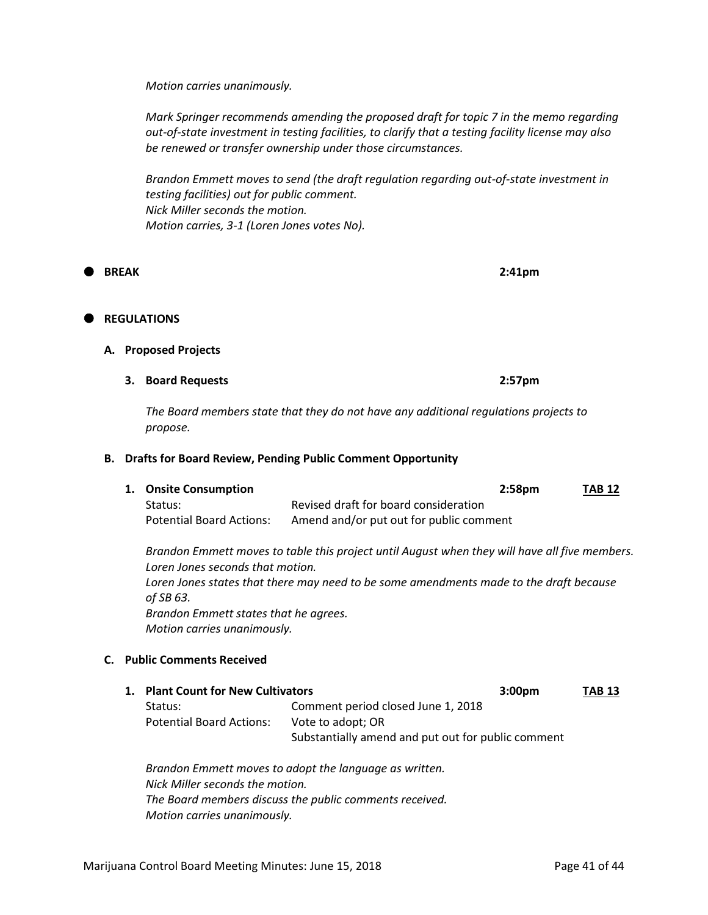*Motion carries unanimously.*

*Mark Springer recommends amending the proposed draft for topic 7 in the memo regarding out-of-state investment in testing facilities, to clarify that a testing facility license may also be renewed or transfer ownership under those circumstances.*

*Brandon Emmett moves to send (the draft regulation regarding out-of-state investment in testing facilities) out for public comment. Nick Miller seconds the motion. Motion carries, 3-1 (Loren Jones votes No).*

**BREAK 2:41pm**

# **REGULATIONS**

#### **A. Proposed Projects**

**3. Board Requests 2:57pm**

*The Board members state that they do not have any additional regulations projects to propose.*

#### **B. Drafts for Board Review, Pending Public Comment Opportunity**

| 1. Onsite Consumption    |                                         | 2:58pm | <b>TAB 12</b> |
|--------------------------|-----------------------------------------|--------|---------------|
| Status:                  | Revised draft for board consideration   |        |               |
| Potential Board Actions: | Amend and/or put out for public comment |        |               |

*Brandon Emmett moves to table this project until August when they will have all five members. Loren Jones seconds that motion. Loren Jones states that there may need to be some amendments made to the draft because of SB 63. Brandon Emmett states that he agrees. Motion carries unanimously.*

#### **C. Public Comments Received**

| 1. Plant Count for New Cultivators |                                                    | 3:00 <sub>pm</sub> | <b>TAB 13</b> |
|------------------------------------|----------------------------------------------------|--------------------|---------------|
| Status:                            | Comment period closed June 1, 2018                 |                    |               |
| <b>Potential Board Actions:</b>    | Vote to adopt; OR                                  |                    |               |
|                                    | Substantially amend and put out for public comment |                    |               |
|                                    |                                                    |                    |               |

*Brandon Emmett moves to adopt the language as written. Nick Miller seconds the motion. The Board members discuss the public comments received. Motion carries unanimously.*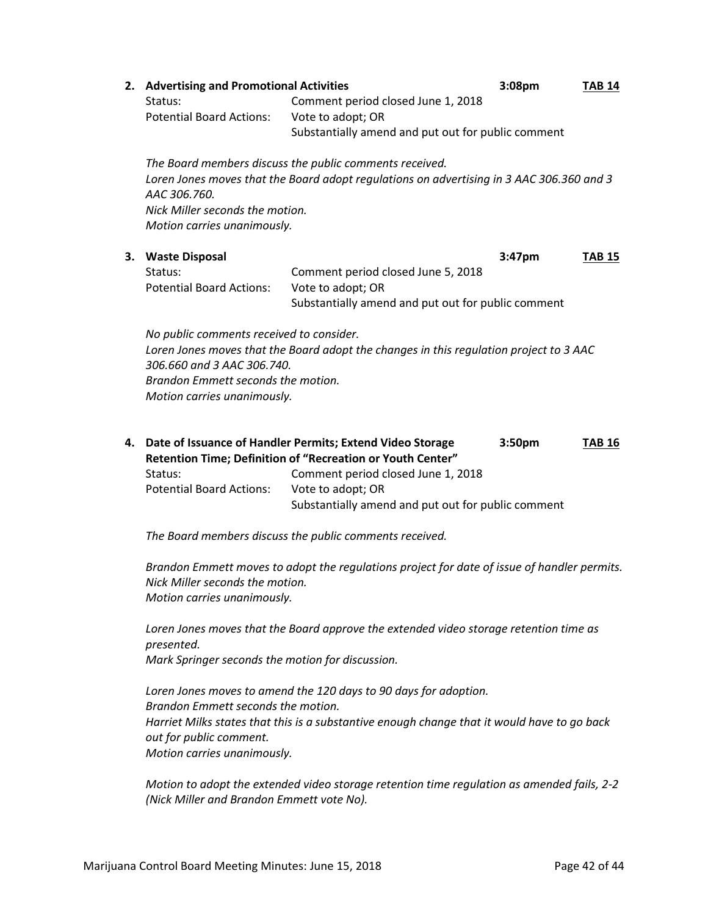|                                                                                                                                                                                                                                       | 2. Advertising and Promotional Activities<br>Status:<br><b>Potential Board Actions:</b> | Comment period closed June 1, 2018<br>Vote to adopt; OR<br>Substantially amend and put out for public comment                                                                                                                            | 3:08pm | <b>TAB 14</b> |
|---------------------------------------------------------------------------------------------------------------------------------------------------------------------------------------------------------------------------------------|-----------------------------------------------------------------------------------------|------------------------------------------------------------------------------------------------------------------------------------------------------------------------------------------------------------------------------------------|--------|---------------|
|                                                                                                                                                                                                                                       | AAC 306.760.<br>Nick Miller seconds the motion.<br>Motion carries unanimously.          | The Board members discuss the public comments received.<br>Loren Jones moves that the Board adopt regulations on advertising in 3 AAC 306.360 and 3                                                                                      |        |               |
| 3.                                                                                                                                                                                                                                    | <b>Waste Disposal</b><br>Status:                                                        | Comment period closed June 5, 2018                                                                                                                                                                                                       | 3:47pm | <b>TAB 15</b> |
|                                                                                                                                                                                                                                       | <b>Potential Board Actions:</b>                                                         | Vote to adopt; OR<br>Substantially amend and put out for public comment                                                                                                                                                                  |        |               |
| No public comments received to consider.<br>Loren Jones moves that the Board adopt the changes in this regulation project to 3 AAC<br>306.660 and 3 AAC 306.740.<br>Brandon Emmett seconds the motion.<br>Motion carries unanimously. |                                                                                         |                                                                                                                                                                                                                                          |        |               |
| 4.                                                                                                                                                                                                                                    | Status:<br><b>Potential Board Actions:</b>                                              | Date of Issuance of Handler Permits; Extend Video Storage<br>Retention Time; Definition of "Recreation or Youth Center"<br>Comment period closed June 1, 2018<br>Vote to adopt; OR<br>Substantially amend and put out for public comment | 3:50pm | <b>TAB 16</b> |

*The Board members discuss the public comments received.*

*Brandon Emmett moves to adopt the regulations project for date of issue of handler permits. Nick Miller seconds the motion. Motion carries unanimously.*

*Loren Jones moves that the Board approve the extended video storage retention time as presented. Mark Springer seconds the motion for discussion.*

*Loren Jones moves to amend the 120 days to 90 days for adoption. Brandon Emmett seconds the motion. Harriet Milks states that this is a substantive enough change that it would have to go back out for public comment. Motion carries unanimously.*

*Motion to adopt the extended video storage retention time regulation as amended fails, 2-2 (Nick Miller and Brandon Emmett vote No).*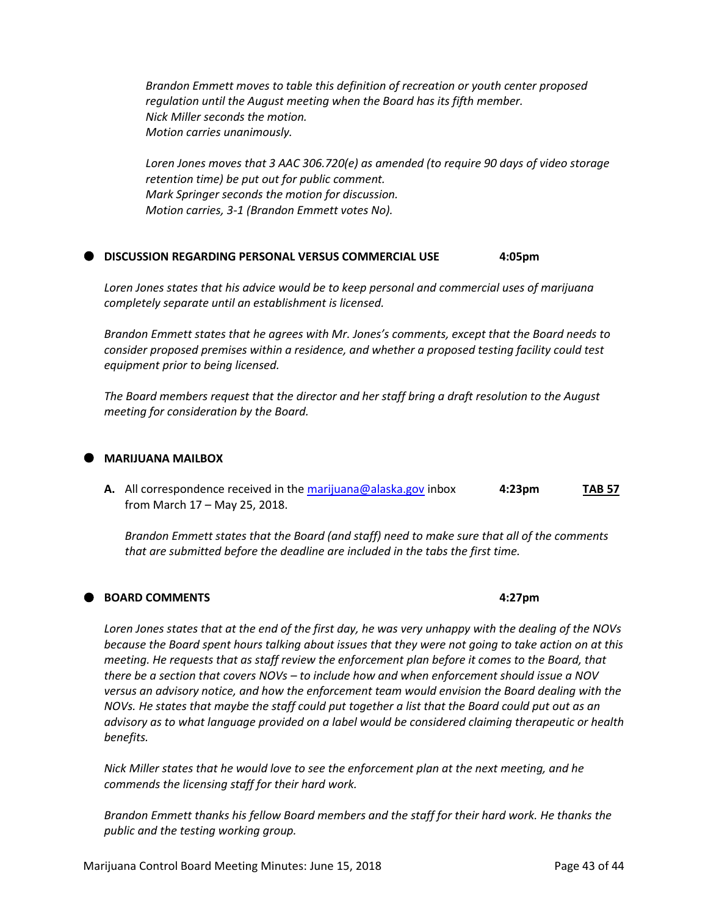*Brandon Emmett moves to table this definition of recreation or youth center proposed regulation until the August meeting when the Board has its fifth member. Nick Miller seconds the motion. Motion carries unanimously.*

*Loren Jones moves that 3 AAC 306.720(e) as amended (to require 90 days of video storage retention time) be put out for public comment. Mark Springer seconds the motion for discussion. Motion carries, 3-1 (Brandon Emmett votes No).*

#### **DISCUSSION REGARDING PERSONAL VERSUS COMMERCIAL USE** 4:05pm

*Loren Jones states that his advice would be to keep personal and commercial uses of marijuana completely separate until an establishment is licensed.*

*Brandon Emmett states that he agrees with Mr. Jones's comments, except that the Board needs to consider proposed premises within a residence, and whether a proposed testing facility could test equipment prior to being licensed.*

*The Board members request that the director and her staff bring a draft resolution to the August meeting for consideration by the Board.*

#### **MARIJUANA MAILBOX**

**A.** All correspondence received in th[e marijuana@alaska.gov](mailto:marijuana@alaska.gov) inbox **4:23pm TAB 57** from March 17 – May 25, 2018.

*Brandon Emmett states that the Board (and staff) need to make sure that all of the comments that are submitted before the deadline are included in the tabs the first time.*

#### **BOARD COMMENTS 4:27pm**

*Loren Jones states that at the end of the first day, he was very unhappy with the dealing of the NOVs because the Board spent hours talking about issues that they were not going to take action on at this meeting. He requests that as staff review the enforcement plan before it comes to the Board, that there be a section that covers NOVs – to include how and when enforcement should issue a NOV versus an advisory notice, and how the enforcement team would envision the Board dealing with the NOVs. He states that maybe the staff could put together a list that the Board could put out as an advisory as to what language provided on a label would be considered claiming therapeutic or health benefits.*

*Nick Miller states that he would love to see the enforcement plan at the next meeting, and he commends the licensing staff for their hard work.*

*Brandon Emmett thanks his fellow Board members and the staff for their hard work. He thanks the public and the testing working group.*